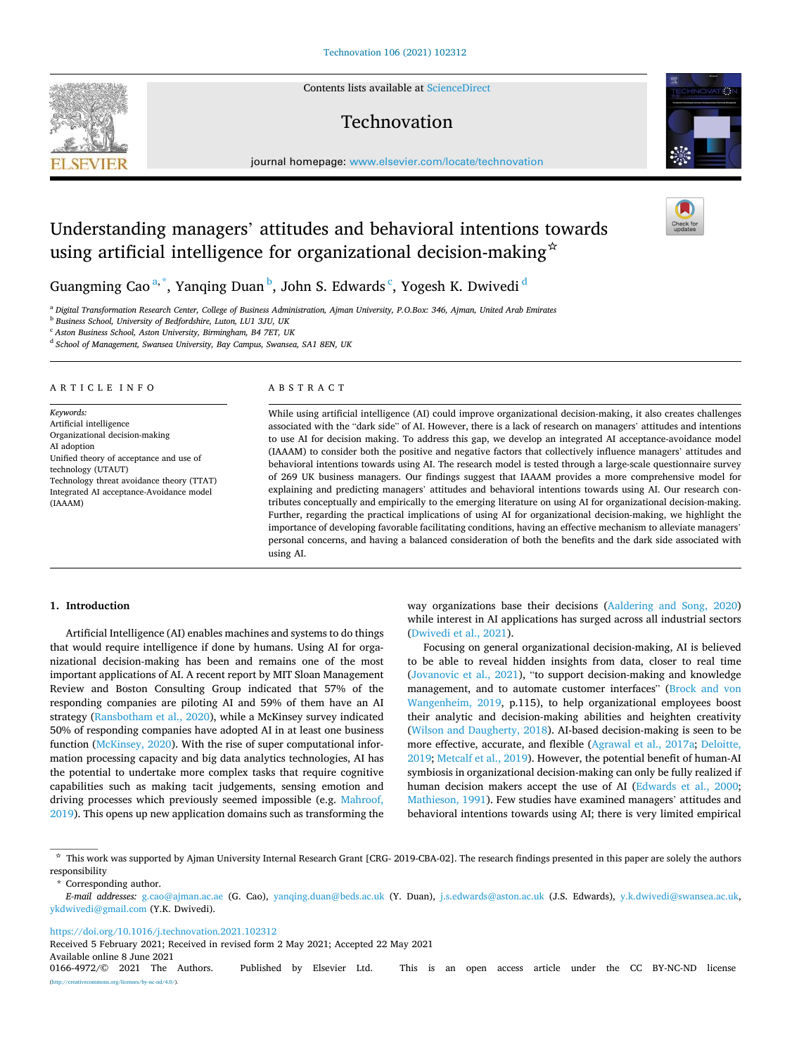Contents lists available at [ScienceDirect](www.sciencedirect.com/science/journal/01664972)

# Technovation

journal homepage: [www.elsevier.com/locate/technovation](https://www.elsevier.com/locate/technovation) 

# Understanding managers' attitudes and behavioral intentions towards using artificial intelligence for organizational decision-making  $\dot{\alpha}$

Guangming Cao<sup>a,\*</sup>, Yanqing Duan<sup>b</sup>, John S. Edwards<sup>c</sup>, Yogesh K. Dwivedi<sup>d</sup>

<sup>a</sup> *Digital Transformation Research Center, College of Business Administration, Ajman University, P.O.Box: 346, Ajman, United Arab Emirates* 

b *Business School, University of Bedfordshire, Luton, LU1 3JU, UK* 

<sup>c</sup> *Aston Business School, Aston University, Birmingham, B4 7ET, UK* 

d *School of Management, Swansea University, Bay Campus, Swansea, SA1 8EN, UK* 

## A R T I C L E I N F O

*Keywords:*  Artificial intelligence Organizational decision-making AI adoption Unified theory of acceptance and use of technology (UTAUT) Technology threat avoidance theory (TTAT) Integrated AI acceptance-Avoidance model (IAAAM)

### ABSTRACT

While using artificial intelligence (AI) could improve organizational decision-making, it also creates challenges associated with the "dark side" of AI. However, there is a lack of research on managers' attitudes and intentions to use AI for decision making. To address this gap, we develop an integrated AI acceptance-avoidance model (IAAAM) to consider both the positive and negative factors that collectively influence managers' attitudes and behavioral intentions towards using AI. The research model is tested through a large-scale questionnaire survey of 269 UK business managers. Our findings suggest that IAAAM provides a more comprehensive model for explaining and predicting managers' attitudes and behavioral intentions towards using AI. Our research contributes conceptually and empirically to the emerging literature on using AI for organizational decision-making. Further, regarding the practical implications of using AI for organizational decision-making, we highlight the importance of developing favorable facilitating conditions, having an effective mechanism to alleviate managers' personal concerns, and having a balanced consideration of both the benefits and the dark side associated with using AI.

# **1. Introduction**

Artificial Intelligence (AI) enables machines and systems to do things that would require intelligence if done by humans. Using AI for organizational decision-making has been and remains one of the most important applications of AI. A recent report by MIT Sloan Management Review and Boston Consulting Group indicated that 57% of the responding companies are piloting AI and 59% of them have an AI strategy [\(Ransbotham et al., 2020\)](#page-14-0), while a McKinsey survey indicated 50% of responding companies have adopted AI in at least one business function [\(McKinsey, 2020\)](#page-13-0). With the rise of super computational information processing capacity and big data analytics technologies, AI has the potential to undertake more complex tasks that require cognitive capabilities such as making tacit judgements, sensing emotion and driving processes which previously seemed impossible (e.g. [Mahroof,](#page-13-0)  [2019\)](#page-13-0). This opens up new application domains such as transforming the way organizations base their decisions [\(Aaldering and Song, 2020\)](#page-12-0) while interest in AI applications has surged across all industrial sectors ([Dwivedi et al., 2021](#page-13-0)).

Focusing on general organizational decision-making, AI is believed to be able to reveal hidden insights from data, closer to real time ([Jovanovic et al., 2021](#page-13-0)), "to support decision-making and knowledge management, and to automate customer interfaces" ([Brock and von](#page-12-0)  [Wangenheim, 2019](#page-12-0), p.115), to help organizational employees boost their analytic and decision-making abilities and heighten creativity ([Wilson and Daugherty, 2018\)](#page-14-0). AI-based decision-making is seen to be more effective, accurate, and flexible [\(Agrawal et al., 2017a](#page-12-0); [Deloitte,](#page-13-0)  [2019; Metcalf et al., 2019\)](#page-13-0). However, the potential benefit of human-AI symbiosis in organizational decision-making can only be fully realized if human decision makers accept the use of AI ([Edwards et al., 2000](#page-13-0); [Mathieson, 1991\)](#page-13-0). Few studies have examined managers' attitudes and behavioral intentions towards using AI; there is very limited empirical

\* Corresponding author.

<https://doi.org/10.1016/j.technovation.2021.102312>

Received 5 February 2021; Received in revised form 2 May 2021; Accepted 22 May 2021

<span id="page-0-0"></span>



<sup>☆</sup> This work was supported by Ajman University Internal Research Grant [CRG- 2019-CBA-02]. The research findings presented in this paper are solely the authors responsibility

*E-mail addresses:* [g.cao@ajman.ac.ae](mailto:g.cao@ajman.ac.ae) (G. Cao), [yanqing.duan@beds.ac.uk](mailto:yanqing.duan@beds.ac.uk) (Y. Duan), [j.s.edwards@aston.ac.uk](mailto:j.s.edwards@aston.ac.uk) (J.S. Edwards), [y.k.dwivedi@swansea.ac.uk,](mailto:y.k.dwivedi@swansea.ac.uk) [ykdwivedi@gmail.com](mailto:ykdwivedi@gmail.com) (Y.K. Dwivedi).

Available online 8 June 2021<br>0166-4972/© 2021 The Authors. Published by Elsevier Ltd. This is an open access article under the CC BY-NC-ND license (http://www.nc-nd/4.0/).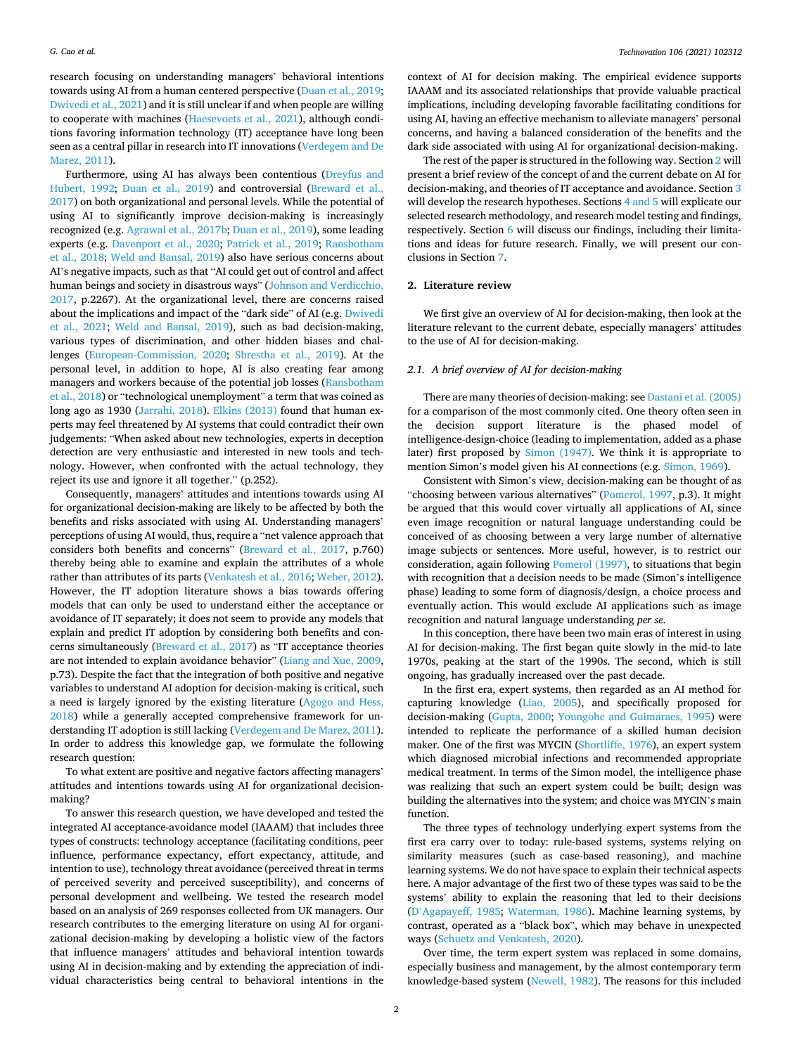research focusing on understanding managers' behavioral intentions towards using AI from a human centered perspective ([Duan et al., 2019](#page-13-0); [Dwivedi et al., 2021](#page-13-0)) and it is still unclear if and when people are willing to cooperate with machines ([Haesevoets et al., 2021\)](#page-13-0), although conditions favoring information technology (IT) acceptance have long been seen as a central pillar in research into IT innovations [\(Verdegem and De](#page-14-0)  [Marez, 2011\)](#page-14-0).

Furthermore, using AI has always been contentious ([Dreyfus and](#page-13-0)  [Hubert, 1992](#page-13-0); [Duan et al., 2019\)](#page-13-0) and controversial ([Breward et al.,](#page-12-0)  [2017\)](#page-12-0) on both organizational and personal levels. While the potential of using AI to significantly improve decision-making is increasingly recognized (e.g. [Agrawal et al., 2017b;](#page-12-0) [Duan et al., 2019](#page-13-0)), some leading experts (e.g. [Davenport et al., 2020](#page-13-0); [Patrick et al., 2019;](#page-13-0) [Ransbotham](#page-14-0)  [et al., 2018](#page-14-0); [Weld and Bansal, 2019\)](#page-14-0) also have serious concerns about AI's negative impacts, such as that "AI could get out of control and affect human beings and society in disastrous ways" [\(Johnson and Verdicchio,](#page-13-0)  [2017,](#page-13-0) p.2267). At the organizational level, there are concerns raised about the implications and impact of the "dark side" of AI (e.g. [Dwivedi](#page-13-0)  [et al., 2021;](#page-13-0) [Weld and Bansal, 2019](#page-14-0)), such as bad decision-making, various types of discrimination, and other hidden biases and challenges ([European-Commission, 2020](#page-13-0); [Shrestha et al., 2019\)](#page-14-0). At the personal level, in addition to hope, AI is also creating fear among managers and workers because of the potential job losses ([Ransbotham](#page-14-0)  [et al., 2018\)](#page-14-0) or "technological unemployment" a term that was coined as long ago as 1930 [\(Jarrahi, 2018\)](#page-13-0). [Elkins \(2013\)](#page-13-0) found that human experts may feel threatened by AI systems that could contradict their own judgements: "When asked about new technologies, experts in deception detection are very enthusiastic and interested in new tools and technology. However, when confronted with the actual technology, they reject its use and ignore it all together." (p.252).

Consequently, managers' attitudes and intentions towards using AI for organizational decision-making are likely to be affected by both the benefits and risks associated with using AI. Understanding managers' perceptions of using AI would, thus, require a "net valence approach that considers both benefits and concerns" [\(Breward et al., 2017,](#page-12-0) p.760) thereby being able to examine and explain the attributes of a whole rather than attributes of its parts [\(Venkatesh et al., 2016](#page-14-0); [Weber, 2012](#page-14-0)). However, the IT adoption literature shows a bias towards offering models that can only be used to understand either the acceptance or avoidance of IT separately; it does not seem to provide any models that explain and predict IT adoption by considering both benefits and concerns simultaneously [\(Breward et al., 2017](#page-12-0)) as "IT acceptance theories are not intended to explain avoidance behavior" [\(Liang and Xue, 2009](#page-13-0), p.73). Despite the fact that the integration of both positive and negative variables to understand AI adoption for decision-making is critical, such a need is largely ignored by the existing literature [\(Agogo and Hess,](#page-12-0)  [2018\)](#page-12-0) while a generally accepted comprehensive framework for understanding IT adoption is still lacking [\(Verdegem and De Marez, 2011](#page-14-0)). In order to address this knowledge gap, we formulate the following research question:

To what extent are positive and negative factors affecting managers' attitudes and intentions towards using AI for organizational decisionmaking?

To answer this research question, we have developed and tested the integrated AI acceptance-avoidance model (IAAAM) that includes three types of constructs: technology acceptance (facilitating conditions, peer influence, performance expectancy, effort expectancy, attitude, and intention to use), technology threat avoidance (perceived threat in terms of perceived severity and perceived susceptibility), and concerns of personal development and wellbeing. We tested the research model based on an analysis of 269 responses collected from UK managers. Our research contributes to the emerging literature on using AI for organizational decision-making by developing a holistic view of the factors that influence managers' attitudes and behavioral intention towards using AI in decision-making and by extending the appreciation of individual characteristics being central to behavioral intentions in the context of AI for decision making. The empirical evidence supports IAAAM and its associated relationships that provide valuable practical implications, including developing favorable facilitating conditions for using AI, having an effective mechanism to alleviate managers' personal concerns, and having a balanced consideration of the benefits and the dark side associated with using AI for organizational decision-making.

The rest of the paper is structured in the following way. Section 2 will present a brief review of the concept of and the current debate on AI for decision-making, and theories of IT acceptance and avoidance. Section [3](#page-3-0)  will develop the research hypotheses. Sections [4 and 5](#page-6-0) will explicate our selected research methodology, and research model testing and findings, respectively. Section 6 will discuss our findings, including their limitations and ideas for future research. Finally, we will present our conclusions in Section [7](#page-12-0).

#### **2. Literature review**

We first give an overview of AI for decision-making, then look at the literature relevant to the current debate, especially managers' attitudes to the use of AI for decision-making.

## *2.1. A brief overview of AI for decision-making*

There are many theories of decision-making: see [Dastani et al. \(2005\)](#page-13-0)  for a comparison of the most commonly cited. One theory often seen in the decision support literature is the phased model of intelligence-design-choice (leading to implementation, added as a phase later) first proposed by [Simon \(1947\).](#page-14-0) We think it is appropriate to mention Simon's model given his AI connections (e.g. [Simon, 1969](#page-14-0)).

Consistent with Simon's view, decision-making can be thought of as "choosing between various alternatives" ([Pomerol, 1997,](#page-14-0) p.3). It might be argued that this would cover virtually all applications of AI, since even image recognition or natural language understanding could be conceived of as choosing between a very large number of alternative image subjects or sentences. More useful, however, is to restrict our consideration, again following [Pomerol \(1997\),](#page-14-0) to situations that begin with recognition that a decision needs to be made (Simon's intelligence phase) leading to some form of diagnosis/design, a choice process and eventually action. This would exclude AI applications such as image recognition and natural language understanding *per se*.

In this conception, there have been two main eras of interest in using AI for decision-making. The first began quite slowly in the mid-to late 1970s, peaking at the start of the 1990s. The second, which is still ongoing, has gradually increased over the past decade.

In the first era, expert systems, then regarded as an AI method for capturing knowledge [\(Liao, 2005](#page-13-0)), and specifically proposed for decision-making [\(Gupta, 2000;](#page-13-0) [Youngohc and Guimaraes, 1995\)](#page-14-0) were intended to replicate the performance of a skilled human decision maker. One of the first was MYCIN [\(Shortliffe, 1976\)](#page-14-0), an expert system which diagnosed microbial infections and recommended appropriate medical treatment. In terms of the Simon model, the intelligence phase was realizing that such an expert system could be built; design was building the alternatives into the system; and choice was MYCIN's main function.

The three types of technology underlying expert systems from the first era carry over to today: rule-based systems, systems relying on similarity measures (such as case-based reasoning), and machine learning systems. We do not have space to explain their technical aspects here. A major advantage of the first two of these types was said to be the systems' ability to explain the reasoning that led to their decisions (D'[Agapayeff, 1985;](#page-13-0) [Waterman, 1986](#page-14-0)). Machine learning systems, by contrast, operated as a "black box", which may behave in unexpected ways ([Schuetz and Venkatesh, 2020\)](#page-14-0).

Over time, the term expert system was replaced in some domains, especially business and management, by the almost contemporary term knowledge-based system [\(Newell, 1982\)](#page-13-0). The reasons for this included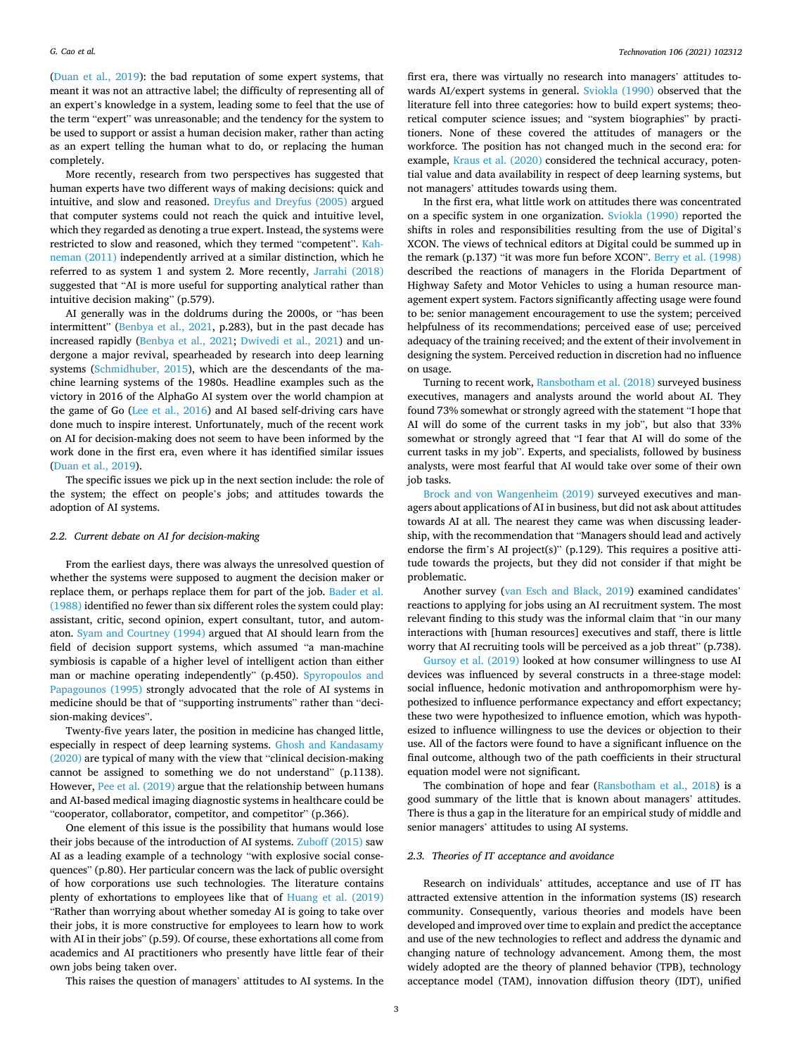([Duan et al., 2019\)](#page-13-0): the bad reputation of some expert systems, that meant it was not an attractive label; the difficulty of representing all of an expert's knowledge in a system, leading some to feel that the use of the term "expert" was unreasonable; and the tendency for the system to be used to support or assist a human decision maker, rather than acting as an expert telling the human what to do, or replacing the human completely.

More recently, research from two perspectives has suggested that human experts have two different ways of making decisions: quick and intuitive, and slow and reasoned. [Dreyfus and Dreyfus \(2005\)](#page-13-0) argued that computer systems could not reach the quick and intuitive level, which they regarded as denoting a true expert. Instead, the systems were restricted to slow and reasoned, which they termed "competent". [Kah](#page-13-0)[neman \(2011\)](#page-13-0) independently arrived at a similar distinction, which he referred to as system 1 and system 2. More recently, [Jarrahi \(2018\)](#page-13-0)  suggested that "AI is more useful for supporting analytical rather than intuitive decision making" (p.579).

AI generally was in the doldrums during the 2000s, or "has been intermittent" ([Benbya et al., 2021,](#page-12-0) p.283), but in the past decade has increased rapidly [\(Benbya et al., 2021;](#page-12-0) [Dwivedi et al., 2021\)](#page-13-0) and undergone a major revival, spearheaded by research into deep learning systems [\(Schmidhuber, 2015](#page-14-0)), which are the descendants of the machine learning systems of the 1980s. Headline examples such as the victory in 2016 of the AlphaGo AI system over the world champion at the game of Go [\(Lee et al., 2016\)](#page-13-0) and AI based self-driving cars have done much to inspire interest. Unfortunately, much of the recent work on AI for decision-making does not seem to have been informed by the work done in the first era, even where it has identified similar issues ([Duan et al., 2019\)](#page-13-0).

The specific issues we pick up in the next section include: the role of the system; the effect on people's jobs; and attitudes towards the adoption of AI systems.

## *2.2. Current debate on AI for decision-making*

From the earliest days, there was always the unresolved question of whether the systems were supposed to augment the decision maker or replace them, or perhaps replace them for part of the job. [Bader et al.](#page-12-0)  [\(1988\)](#page-12-0) identified no fewer than six different roles the system could play: assistant, critic, second opinion, expert consultant, tutor, and automaton. [Syam and Courtney \(1994\)](#page-14-0) argued that AI should learn from the field of decision support systems, which assumed "a man-machine symbiosis is capable of a higher level of intelligent action than either man or machine operating independently" (p.450). [Spyropoulos and](#page-14-0)  [Papagounos \(1995\)](#page-14-0) strongly advocated that the role of AI systems in medicine should be that of "supporting instruments" rather than "decision-making devices".

Twenty-five years later, the position in medicine has changed little, especially in respect of deep learning systems. [Ghosh and Kandasamy](#page-13-0)  [\(2020\)](#page-13-0) are typical of many with the view that "clinical decision-making cannot be assigned to something we do not understand" (p.1138). However, [Pee et al. \(2019\)](#page-13-0) argue that the relationship between humans and AI-based medical imaging diagnostic systems in healthcare could be "cooperator, collaborator, competitor, and competitor" (p.366).

One element of this issue is the possibility that humans would lose their jobs because of the introduction of AI systems. [Zuboff \(2015\)](#page-14-0) saw AI as a leading example of a technology "with explosive social consequences" (p.80). Her particular concern was the lack of public oversight of how corporations use such technologies. The literature contains plenty of exhortations to employees like that of [Huang et al. \(2019\)](#page-13-0)  "Rather than worrying about whether someday AI is going to take over their jobs, it is more constructive for employees to learn how to work with AI in their jobs" (p.59). Of course, these exhortations all come from academics and AI practitioners who presently have little fear of their own jobs being taken over.

*Technovation 106 (2021) 102312*

first era, there was virtually no research into managers' attitudes towards AI/expert systems in general. [Sviokla \(1990\)](#page-14-0) observed that the literature fell into three categories: how to build expert systems; theoretical computer science issues; and "system biographies" by practitioners. None of these covered the attitudes of managers or the workforce. The position has not changed much in the second era: for example, [Kraus et al. \(2020\)](#page-13-0) considered the technical accuracy, potential value and data availability in respect of deep learning systems, but not managers' attitudes towards using them.

In the first era, what little work on attitudes there was concentrated on a specific system in one organization. [Sviokla \(1990\)](#page-14-0) reported the shifts in roles and responsibilities resulting from the use of Digital's XCON. The views of technical editors at Digital could be summed up in the remark (p.137) "it was more fun before XCON". [Berry et al. \(1998\)](#page-12-0)  described the reactions of managers in the Florida Department of Highway Safety and Motor Vehicles to using a human resource management expert system. Factors significantly affecting usage were found to be: senior management encouragement to use the system; perceived helpfulness of its recommendations; perceived ease of use; perceived adequacy of the training received; and the extent of their involvement in designing the system. Perceived reduction in discretion had no influence on usage.

Turning to recent work, [Ransbotham et al. \(2018\)](#page-14-0) surveyed business executives, managers and analysts around the world about AI. They found 73% somewhat or strongly agreed with the statement "I hope that AI will do some of the current tasks in my job", but also that 33% somewhat or strongly agreed that "I fear that AI will do some of the current tasks in my job". Experts, and specialists, followed by business analysts, were most fearful that AI would take over some of their own job tasks.

[Brock and von Wangenheim \(2019\)](#page-12-0) surveyed executives and managers about applications of AI in business, but did not ask about attitudes towards AI at all. The nearest they came was when discussing leadership, with the recommendation that "Managers should lead and actively endorse the firm's AI project(s)" (p.129). This requires a positive attitude towards the projects, but they did not consider if that might be problematic.

Another survey ([van Esch and Black, 2019\)](#page-14-0) examined candidates' reactions to applying for jobs using an AI recruitment system. The most relevant finding to this study was the informal claim that "in our many interactions with [human resources] executives and staff, there is little worry that AI recruiting tools will be perceived as a job threat" (p.738).

[Gursoy et al. \(2019\)](#page-13-0) looked at how consumer willingness to use AI devices was influenced by several constructs in a three-stage model: social influence, hedonic motivation and anthropomorphism were hypothesized to influence performance expectancy and effort expectancy; these two were hypothesized to influence emotion, which was hypothesized to influence willingness to use the devices or objection to their use. All of the factors were found to have a significant influence on the final outcome, although two of the path coefficients in their structural equation model were not significant.

The combination of hope and fear ([Ransbotham et al., 2018\)](#page-14-0) is a good summary of the little that is known about managers' attitudes. There is thus a gap in the literature for an empirical study of middle and senior managers' attitudes to using AI systems.

# *2.3. Theories of IT acceptance and avoidance*

Research on individuals' attitudes, acceptance and use of IT has attracted extensive attention in the information systems (IS) research community. Consequently, various theories and models have been developed and improved over time to explain and predict the acceptance and use of the new technologies to reflect and address the dynamic and changing nature of technology advancement. Among them, the most widely adopted are the theory of planned behavior (TPB), technology acceptance model (TAM), innovation diffusion theory (IDT), unified

This raises the question of managers' attitudes to AI systems. In the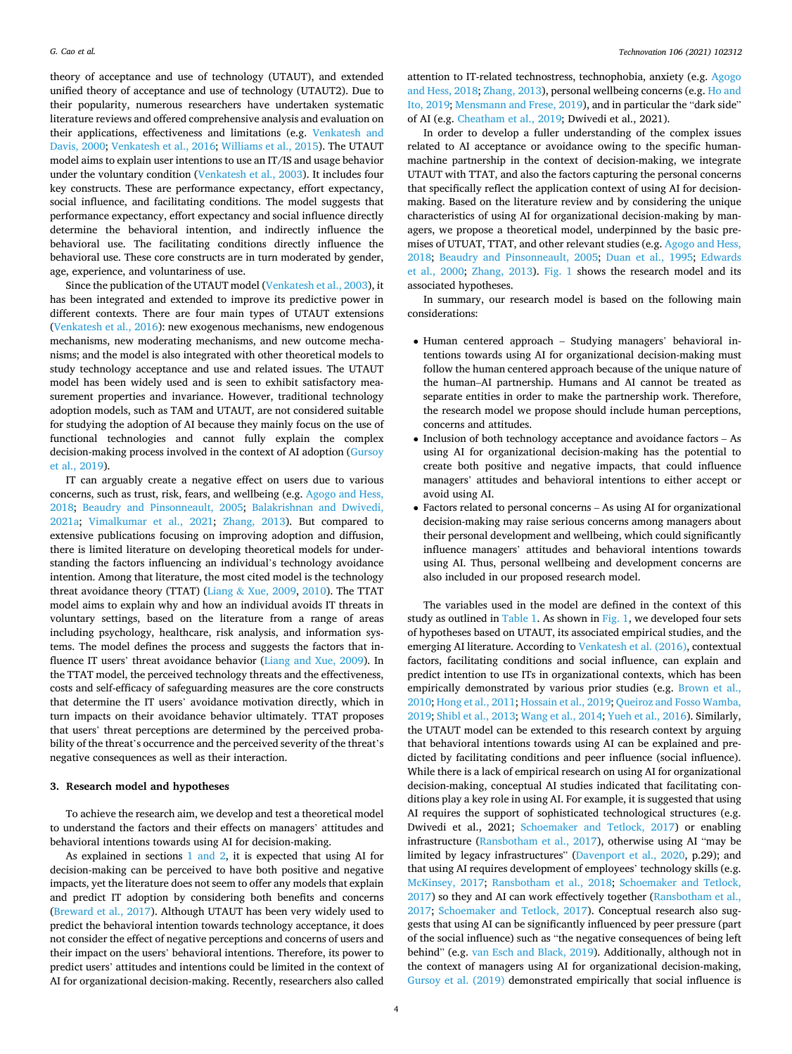<span id="page-3-0"></span>theory of acceptance and use of technology (UTAUT), and extended unified theory of acceptance and use of technology (UTAUT2). Due to their popularity, numerous researchers have undertaken systematic literature reviews and offered comprehensive analysis and evaluation on their applications, effectiveness and limitations (e.g. [Venkatesh and](#page-14-0)  [Davis, 2000](#page-14-0); [Venkatesh et al., 2016](#page-14-0); [Williams et al., 2015\)](#page-14-0). The UTAUT model aims to explain user intentions to use an IT/IS and usage behavior under the voluntary condition ([Venkatesh et al., 2003\)](#page-14-0). It includes four key constructs. These are performance expectancy, effort expectancy, social influence, and facilitating conditions. The model suggests that performance expectancy, effort expectancy and social influence directly determine the behavioral intention, and indirectly influence the behavioral use. The facilitating conditions directly influence the behavioral use. These core constructs are in turn moderated by gender, age, experience, and voluntariness of use.

Since the publication of the UTAUT model [\(Venkatesh et al., 2003\)](#page-14-0), it has been integrated and extended to improve its predictive power in different contexts. There are four main types of UTAUT extensions ([Venkatesh et al., 2016](#page-14-0)): new exogenous mechanisms, new endogenous mechanisms, new moderating mechanisms, and new outcome mechanisms; and the model is also integrated with other theoretical models to study technology acceptance and use and related issues. The UTAUT model has been widely used and is seen to exhibit satisfactory measurement properties and invariance. However, traditional technology adoption models, such as TAM and UTAUT, are not considered suitable for studying the adoption of AI because they mainly focus on the use of functional technologies and cannot fully explain the complex decision-making process involved in the context of AI adoption ([Gursoy](#page-13-0)  [et al., 2019\)](#page-13-0).

IT can arguably create a negative effect on users due to various concerns, such as trust, risk, fears, and wellbeing (e.g. [Agogo and Hess,](#page-12-0)  [2018;](#page-12-0) [Beaudry and Pinsonneault, 2005](#page-12-0); [Balakrishnan and Dwivedi,](#page-12-0)  [2021a;](#page-12-0) [Vimalkumar et al., 2021;](#page-14-0) [Zhang, 2013\)](#page-14-0). But compared to extensive publications focusing on improving adoption and diffusion, there is limited literature on developing theoretical models for understanding the factors influencing an individual's technology avoidance intention. Among that literature, the most cited model is the technology threat avoidance theory (TTAT) (Liang & [Xue, 2009,](#page-13-0) [2010](#page-13-0)). The TTAT model aims to explain why and how an individual avoids IT threats in voluntary settings, based on the literature from a range of areas including psychology, healthcare, risk analysis, and information systems. The model defines the process and suggests the factors that influence IT users' threat avoidance behavior ([Liang and Xue, 2009](#page-13-0)). In the TTAT model, the perceived technology threats and the effectiveness, costs and self-efficacy of safeguarding measures are the core constructs that determine the IT users' avoidance motivation directly, which in turn impacts on their avoidance behavior ultimately. TTAT proposes that users' threat perceptions are determined by the perceived probability of the threat's occurrence and the perceived severity of the threat's negative consequences as well as their interaction.

# **3. Research model and hypotheses**

To achieve the research aim, we develop and test a theoretical model to understand the factors and their effects on managers' attitudes and behavioral intentions towards using AI for decision-making.

As explained in sections [1 and 2,](#page-0-0) it is expected that using AI for decision-making can be perceived to have both positive and negative impacts, yet the literature does not seem to offer any models that explain and predict IT adoption by considering both benefits and concerns ([Breward et al., 2017](#page-12-0)). Although UTAUT has been very widely used to predict the behavioral intention towards technology acceptance, it does not consider the effect of negative perceptions and concerns of users and their impact on the users' behavioral intentions. Therefore, its power to predict users' attitudes and intentions could be limited in the context of AI for organizational decision-making. Recently, researchers also called

attention to IT-related technostress, technophobia, anxiety (e.g. [Agogo](#page-12-0)  [and Hess, 2018;](#page-12-0) [Zhang, 2013\)](#page-14-0), personal wellbeing concerns (e.g. [Ho and](#page-13-0)  [Ito, 2019](#page-13-0); [Mensmann and Frese, 2019](#page-13-0)), and in particular the "dark side" of AI (e.g. [Cheatham et al., 2019;](#page-13-0) Dwivedi et al., 2021).

In order to develop a fuller understanding of the complex issues related to AI acceptance or avoidance owing to the specific humanmachine partnership in the context of decision-making, we integrate UTAUT with TTAT, and also the factors capturing the personal concerns that specifically reflect the application context of using AI for decisionmaking. Based on the literature review and by considering the unique characteristics of using AI for organizational decision-making by managers, we propose a theoretical model, underpinned by the basic premises of UTUAT, TTAT, and other relevant studies (e.g. [Agogo and Hess,](#page-12-0)  [2018;](#page-12-0) [Beaudry and Pinsonneault, 2005;](#page-12-0) [Duan et al., 1995](#page-13-0); [Edwards](#page-13-0)  [et al., 2000](#page-13-0); [Zhang, 2013\)](#page-14-0). [Fig. 1](#page-4-0) shows the research model and its associated hypotheses.

In summary, our research model is based on the following main considerations:

- Human centered approach Studying managers' behavioral intentions towards using AI for organizational decision-making must follow the human centered approach because of the unique nature of the human–AI partnership. Humans and AI cannot be treated as separate entities in order to make the partnership work. Therefore, the research model we propose should include human perceptions, concerns and attitudes.
- Inclusion of both technology acceptance and avoidance factors As using AI for organizational decision-making has the potential to create both positive and negative impacts, that could influence managers' attitudes and behavioral intentions to either accept or avoid using AI.
- Factors related to personal concerns As using AI for organizational decision-making may raise serious concerns among managers about their personal development and wellbeing, which could significantly influence managers' attitudes and behavioral intentions towards using AI. Thus, personal wellbeing and development concerns are also included in our proposed research model.

The variables used in the model are defined in the context of this study as outlined in [Table 1.](#page-4-0) As shown in [Fig. 1,](#page-4-0) we developed four sets of hypotheses based on UTAUT, its associated empirical studies, and the emerging AI literature. According to [Venkatesh et al. \(2016\),](#page-14-0) contextual factors, facilitating conditions and social influence, can explain and predict intention to use ITs in organizational contexts, which has been empirically demonstrated by various prior studies (e.g. [Brown et al.,](#page-12-0)  [2010;](#page-12-0) [Hong et al., 2011; Hossain et al., 2019;](#page-13-0) [Queiroz and Fosso Wamba,](#page-14-0)  [2019; Shibl et al., 2013; Wang et al., 2014](#page-14-0); [Yueh et al., 2016](#page-14-0)). Similarly, the UTAUT model can be extended to this research context by arguing that behavioral intentions towards using AI can be explained and predicted by facilitating conditions and peer influence (social influence). While there is a lack of empirical research on using AI for organizational decision-making, conceptual AI studies indicated that facilitating conditions play a key role in using AI. For example, it is suggested that using AI requires the support of sophisticated technological structures (e.g. Dwivedi et al., 2021; [Schoemaker and Tetlock, 2017\)](#page-14-0) or enabling infrastructure ([Ransbotham et al., 2017](#page-14-0)), otherwise using AI "may be limited by legacy infrastructures" [\(Davenport et al., 2020](#page-13-0), p.29); and that using AI requires development of employees' technology skills (e.g. [McKinsey, 2017](#page-13-0); [Ransbotham et al., 2018](#page-14-0); [Schoemaker and Tetlock,](#page-14-0)  [2017\)](#page-14-0) so they and AI can work effectively together ([Ransbotham et al.,](#page-14-0)  [2017;](#page-14-0) [Schoemaker and Tetlock, 2017\)](#page-14-0). Conceptual research also suggests that using AI can be significantly influenced by peer pressure (part of the social influence) such as "the negative consequences of being left behind" (e.g. [van Esch and Black, 2019\)](#page-14-0). Additionally, although not in the context of managers using AI for organizational decision-making, [Gursoy et al. \(2019\)](#page-13-0) demonstrated empirically that social influence is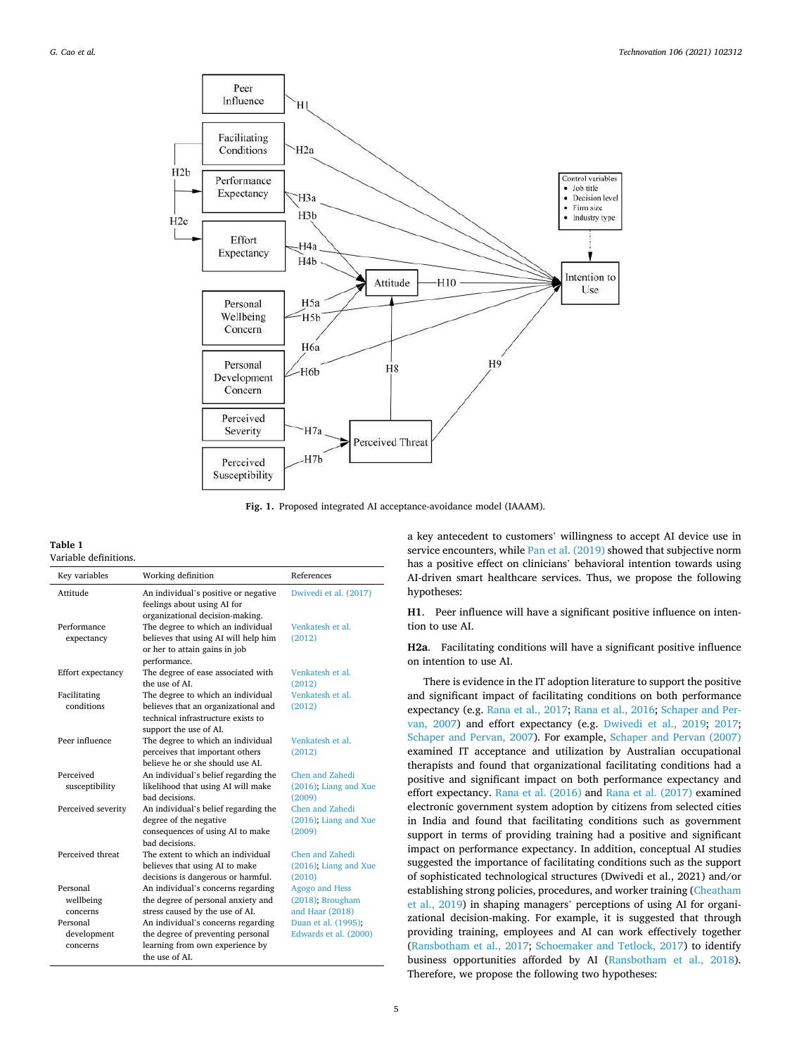<span id="page-4-0"></span>

**Fig. 1.** Proposed integrated AI acceptance-avoidance model (IAAAM).

## **Table 1**  Variable definitions.

| Key variables           | Working definition                                                        | References               |
|-------------------------|---------------------------------------------------------------------------|--------------------------|
| Attitude                | An individual's positive or negative                                      | Dwivedi et al. (2017)    |
|                         | feelings about using AI for                                               |                          |
| Performance             | organizational decision-making.                                           | Venkatesh et al.         |
|                         | The degree to which an individual<br>believes that using AI will help him | (2012)                   |
| expectancy              | or her to attain gains in job                                             |                          |
|                         | performance.                                                              |                          |
| Effort expectancy       | The degree of ease associated with                                        | Venkatesh et al.         |
|                         | the use of AL                                                             | (2012)                   |
| Facilitating            | The degree to which an individual                                         | Venkatesh et al.         |
| conditions              | believes that an organizational and                                       | (2012)                   |
|                         | technical infrastructure exists to                                        |                          |
|                         | support the use of AI.                                                    |                          |
| Peer influence          | The degree to which an individual                                         | Venkatesh et al.         |
|                         | perceives that important others                                           | (2012)                   |
|                         | believe he or she should use AL                                           |                          |
| Perceived               | An individual's belief regarding the                                      | Chen and Zahedi          |
| susceptibility          | likelihood that using AI will make                                        | $(2016)$ ; Liang and Xue |
|                         | bad decisions.                                                            | (2009)                   |
| Perceived severity      | An individual's belief regarding the                                      | Chen and Zahedi          |
|                         | degree of the negative                                                    | $(2016)$ : Liang and Xue |
|                         | consequences of using AI to make                                          | (2009)                   |
|                         | bad decisions.                                                            |                          |
| Perceived threat        | The extent to which an individual                                         | Chen and Zahedi          |
|                         | believes that using AI to make                                            | $(2016)$ ; Liang and Xue |
|                         | decisions is dangerous or harmful.                                        | (2010)                   |
| Personal                | An individual's concerns regarding                                        | Agogo and Hess           |
| wellbeing               | the degree of personal anxiety and                                        | (2018); Brougham         |
| concerns<br>Personal    | stress caused by the use of AI.                                           | and Haar (2018)          |
|                         | An individual's concerns regarding                                        | Duan et al. (1995);      |
| development<br>concerns | the degree of preventing personal<br>learning from own experience by      | Edwards et al. (2000)    |
|                         | the use of AL                                                             |                          |
|                         |                                                                           |                          |

a key antecedent to customers' willingness to accept AI device use in service encounters, while [Pan et al. \(2019\)](#page-13-0) showed that subjective norm has a positive effect on clinicians' behavioral intention towards using AI-driven smart healthcare services. Thus, we propose the following hypotheses:

**H1**. Peer influence will have a significant positive influence on intention to use AI.

**H2a**. Facilitating conditions will have a significant positive influence on intention to use AI.

There is evidence in the IT adoption literature to support the positive and significant impact of facilitating conditions on both performance expectancy (e.g. [Rana et al., 2017](#page-14-0); [Rana et al., 2016; Schaper and Per](#page-14-0)[van, 2007\)](#page-14-0) and effort expectancy (e.g. [Dwivedi et al., 2019](#page-13-0); [2017](#page-13-0); [Schaper and Pervan, 2007](#page-14-0)). For example, [Schaper and Pervan \(2007\)](#page-14-0)  examined IT acceptance and utilization by Australian occupational therapists and found that organizational facilitating conditions had a positive and significant impact on both performance expectancy and effort expectancy. [Rana et al. \(2016\)](#page-14-0) and [Rana et al. \(2017\)](#page-14-0) examined electronic government system adoption by citizens from selected cities in India and found that facilitating conditions such as government support in terms of providing training had a positive and significant impact on performance expectancy. In addition, conceptual AI studies suggested the importance of facilitating conditions such as the support of sophisticated technological structures (Dwivedi et al., 2021) and/or establishing strong policies, procedures, and worker training [\(Cheatham](#page-13-0)  [et al., 2019\)](#page-13-0) in shaping managers' perceptions of using AI for organizational decision-making. For example, it is suggested that through providing training, employees and AI can work effectively together ([Ransbotham et al., 2017;](#page-14-0) [Schoemaker and Tetlock, 2017](#page-14-0)) to identify business opportunities afforded by AI ([Ransbotham et al., 2018](#page-14-0)). Therefore, we propose the following two hypotheses: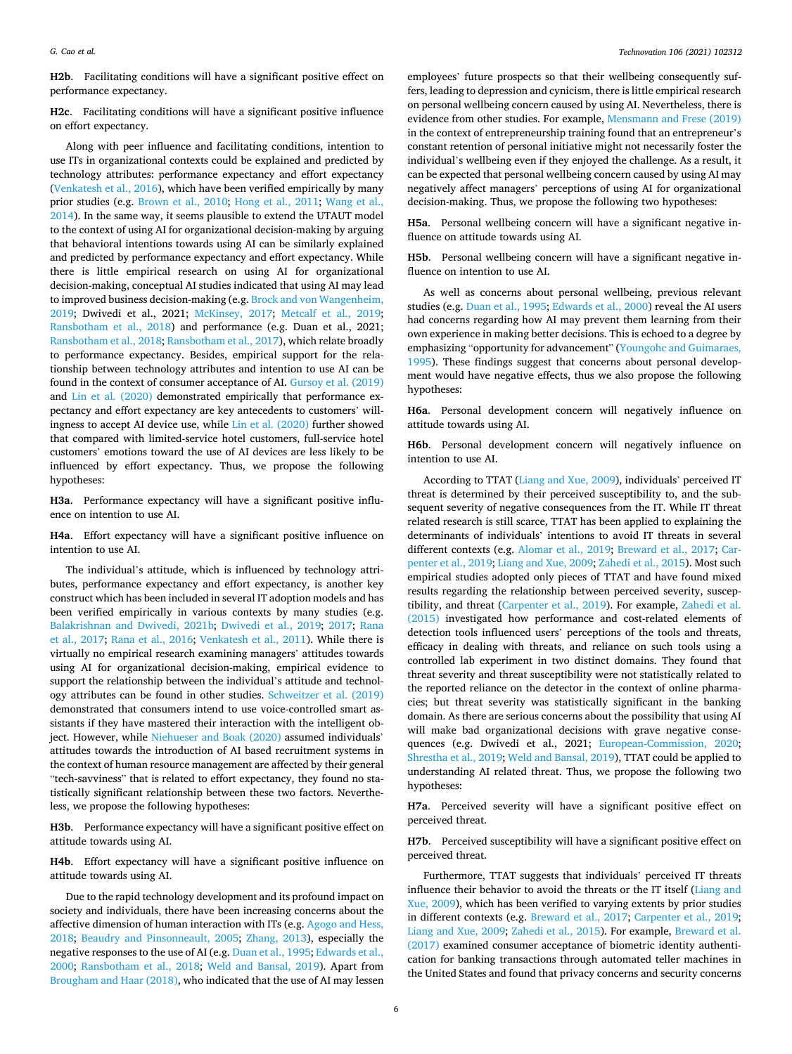**H2b**. Facilitating conditions will have a significant positive effect on performance expectancy.

**H2c**. Facilitating conditions will have a significant positive influence on effort expectancy.

Along with peer influence and facilitating conditions, intention to use ITs in organizational contexts could be explained and predicted by technology attributes: performance expectancy and effort expectancy ([Venkatesh et al., 2016\)](#page-14-0), which have been verified empirically by many prior studies (e.g. [Brown et al., 2010](#page-12-0); [Hong et al., 2011;](#page-13-0) [Wang et al.,](#page-14-0)  [2014\)](#page-14-0). In the same way, it seems plausible to extend the UTAUT model to the context of using AI for organizational decision-making by arguing that behavioral intentions towards using AI can be similarly explained and predicted by performance expectancy and effort expectancy. While there is little empirical research on using AI for organizational decision-making, conceptual AI studies indicated that using AI may lead to improved business decision-making (e.g. [Brock and von Wangenheim,](#page-12-0)  [2019;](#page-12-0) Dwivedi et al., 2021; [McKinsey, 2017](#page-13-0); [Metcalf et al., 2019](#page-13-0); [Ransbotham et al., 2018\)](#page-14-0) and performance (e.g. Duan et al., 2021; [Ransbotham et al., 2018; Ransbotham et al., 2017\)](#page-14-0), which relate broadly to performance expectancy. Besides, empirical support for the relationship between technology attributes and intention to use AI can be found in the context of consumer acceptance of AI. [Gursoy et al. \(2019\)](#page-13-0)  and [Lin et al. \(2020\)](#page-13-0) demonstrated empirically that performance expectancy and effort expectancy are key antecedents to customers' willingness to accept AI device use, while [Lin et al. \(2020\)](#page-13-0) further showed that compared with limited-service hotel customers, full-service hotel customers' emotions toward the use of AI devices are less likely to be influenced by effort expectancy. Thus, we propose the following hypotheses:

**H3a**. Performance expectancy will have a significant positive influence on intention to use AI.

**H4a**. Effort expectancy will have a significant positive influence on intention to use AI.

The individual's attitude, which is influenced by technology attributes, performance expectancy and effort expectancy, is another key construct which has been included in several IT adoption models and has been verified empirically in various contexts by many studies (e.g. [Balakrishnan and Dwivedi, 2021b;](#page-12-0) [Dwivedi et al., 2019;](#page-13-0) [2017](#page-13-0); [Rana](#page-14-0)  [et al., 2017;](#page-14-0) [Rana et al., 2016](#page-14-0); [Venkatesh et al., 2011\)](#page-14-0). While there is virtually no empirical research examining managers' attitudes towards using AI for organizational decision-making, empirical evidence to support the relationship between the individual's attitude and technology attributes can be found in other studies. [Schweitzer et al. \(2019\)](#page-14-0)  demonstrated that consumers intend to use voice-controlled smart assistants if they have mastered their interaction with the intelligent object. However, while [Niehueser and Boak \(2020\)](#page-13-0) assumed individuals' attitudes towards the introduction of AI based recruitment systems in the context of human resource management are affected by their general "tech-savviness" that is related to effort expectancy, they found no statistically significant relationship between these two factors. Nevertheless, we propose the following hypotheses:

**H3b**. Performance expectancy will have a significant positive effect on attitude towards using AI.

**H4b**. Effort expectancy will have a significant positive influence on attitude towards using AI.

Due to the rapid technology development and its profound impact on society and individuals, there have been increasing concerns about the affective dimension of human interaction with ITs (e.g. [Agogo and Hess,](#page-12-0)  [2018;](#page-12-0) [Beaudry and Pinsonneault, 2005;](#page-12-0) [Zhang, 2013\)](#page-14-0), especially the negative responses to the use of AI (e.g. [Duan et al., 1995; Edwards et al.,](#page-13-0)  [2000;](#page-13-0) [Ransbotham et al., 2018](#page-14-0); [Weld and Bansal, 2019](#page-14-0)). Apart from [Brougham and Haar \(2018\),](#page-12-0) who indicated that the use of AI may lessen

employees' future prospects so that their wellbeing consequently suffers, leading to depression and cynicism, there is little empirical research on personal wellbeing concern caused by using AI. Nevertheless, there is evidence from other studies. For example, [Mensmann and Frese \(2019\)](#page-13-0)  in the context of entrepreneurship training found that an entrepreneur's constant retention of personal initiative might not necessarily foster the individual's wellbeing even if they enjoyed the challenge. As a result, it can be expected that personal wellbeing concern caused by using AI may negatively affect managers' perceptions of using AI for organizational decision-making. Thus, we propose the following two hypotheses:

**H5a**. Personal wellbeing concern will have a significant negative influence on attitude towards using AI.

**H5b**. Personal wellbeing concern will have a significant negative influence on intention to use AI.

As well as concerns about personal wellbeing, previous relevant studies (e.g. [Duan et al., 1995](#page-13-0); [Edwards et al., 2000\)](#page-13-0) reveal the AI users had concerns regarding how AI may prevent them learning from their own experience in making better decisions. This is echoed to a degree by emphasizing "opportunity for advancement" [\(Youngohc and Guimaraes,](#page-14-0)  [1995\)](#page-14-0). These findings suggest that concerns about personal development would have negative effects, thus we also propose the following hypotheses:

**H6a**. Personal development concern will negatively influence on attitude towards using AI.

**H6b**. Personal development concern will negatively influence on intention to use AI.

According to TTAT [\(Liang and Xue, 2009\)](#page-13-0), individuals' perceived IT threat is determined by their perceived susceptibility to, and the subsequent severity of negative consequences from the IT. While IT threat related research is still scarce, TTAT has been applied to explaining the determinants of individuals' intentions to avoid IT threats in several different contexts (e.g. [Alomar et al., 2019](#page-12-0); [Breward et al., 2017;](#page-12-0) [Car](#page-13-0)[penter et al., 2019](#page-13-0); [Liang and Xue, 2009](#page-13-0); [Zahedi et al., 2015](#page-14-0)). Most such empirical studies adopted only pieces of TTAT and have found mixed results regarding the relationship between perceived severity, susceptibility, and threat ([Carpenter et al., 2019](#page-13-0)). For example, [Zahedi et al.](#page-14-0)  [\(2015\)](#page-14-0) investigated how performance and cost-related elements of detection tools influenced users' perceptions of the tools and threats, efficacy in dealing with threats, and reliance on such tools using a controlled lab experiment in two distinct domains. They found that threat severity and threat susceptibility were not statistically related to the reported reliance on the detector in the context of online pharmacies; but threat severity was statistically significant in the banking domain. As there are serious concerns about the possibility that using AI will make bad organizational decisions with grave negative consequences (e.g. Dwivedi et al., 2021; [European-Commission, 2020](#page-13-0); [Shrestha et al., 2019](#page-14-0); [Weld and Bansal, 2019](#page-14-0)), TTAT could be applied to understanding AI related threat. Thus, we propose the following two hypotheses:

**H7a**. Perceived severity will have a significant positive effect on perceived threat.

**H7b**. Perceived susceptibility will have a significant positive effect on perceived threat.

Furthermore, TTAT suggests that individuals' perceived IT threats influence their behavior to avoid the threats or the IT itself ([Liang and](#page-13-0)  [Xue, 2009\)](#page-13-0), which has been verified to varying extents by prior studies in different contexts (e.g. [Breward et al., 2017](#page-12-0); [Carpenter et al., 2019](#page-13-0); [Liang and Xue, 2009](#page-13-0); [Zahedi et al., 2015\)](#page-14-0). For example, [Breward et al.](#page-12-0)  [\(2017\)](#page-12-0) examined consumer acceptance of biometric identity authentication for banking transactions through automated teller machines in the United States and found that privacy concerns and security concerns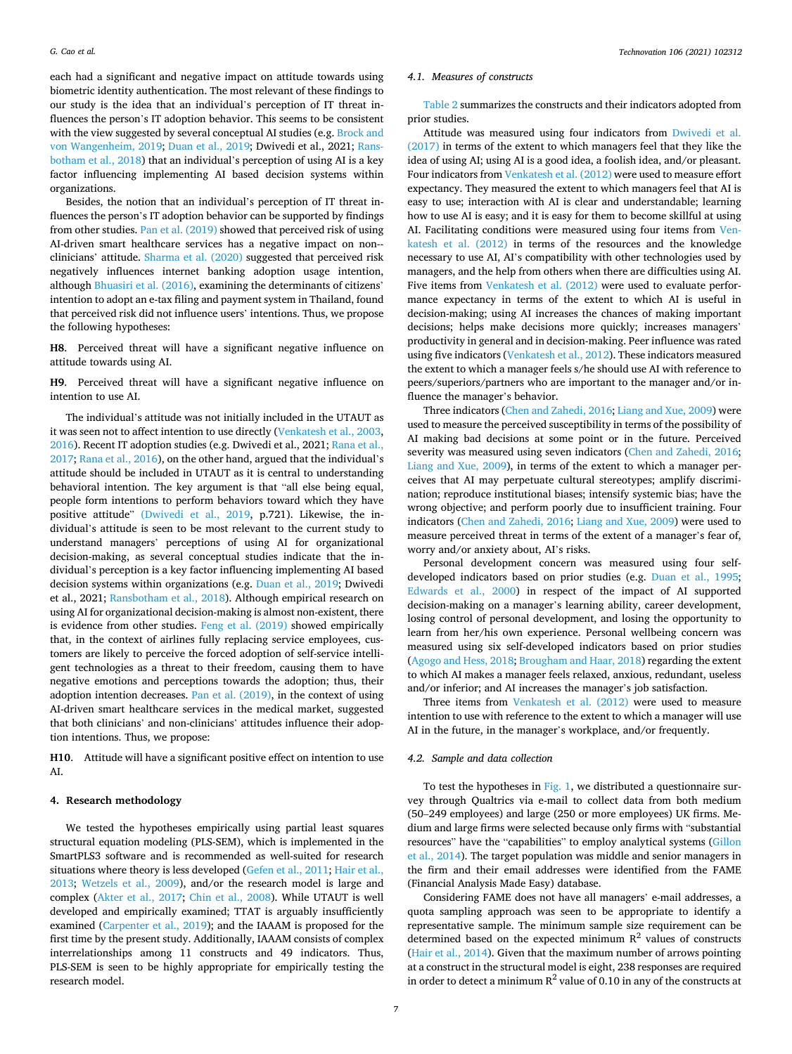<span id="page-6-0"></span>each had a significant and negative impact on attitude towards using biometric identity authentication. The most relevant of these findings to our study is the idea that an individual's perception of IT threat influences the person's IT adoption behavior. This seems to be consistent with the view suggested by several conceptual AI studies (e.g. [Brock and](#page-12-0)  [von Wangenheim, 2019;](#page-12-0) [Duan et al., 2019;](#page-13-0) Dwivedi et al., 2021; [Rans](#page-14-0)[botham et al., 2018](#page-14-0)) that an individual's perception of using AI is a key factor influencing implementing AI based decision systems within organizations.

Besides, the notion that an individual's perception of IT threat influences the person's IT adoption behavior can be supported by findings from other studies. [Pan et al. \(2019\)](#page-13-0) showed that perceived risk of using AI-driven smart healthcare services has a negative impact on non- clinicians' attitude. [Sharma et al. \(2020\)](#page-14-0) suggested that perceived risk negatively influences internet banking adoption usage intention, although [Bhuasiri et al. \(2016\),](#page-12-0) examining the determinants of citizens' intention to adopt an e-tax filing and payment system in Thailand, found that perceived risk did not influence users' intentions. Thus, we propose the following hypotheses:

**H8**. Perceived threat will have a significant negative influence on attitude towards using AI.

**H9**. Perceived threat will have a significant negative influence on intention to use AI.

The individual's attitude was not initially included in the UTAUT as it was seen not to affect intention to use directly [\(Venkatesh et al., 2003](#page-14-0), [2016\)](#page-14-0). Recent IT adoption studies (e.g. Dwivedi et al., 2021; [Rana et al.,](#page-14-0)  [2017; Rana et al., 2016\)](#page-14-0), on the other hand, argued that the individual's attitude should be included in UTAUT as it is central to understanding behavioral intention. The key argument is that "all else being equal, people form intentions to perform behaviors toward which they have positive attitude" [\(Dwivedi et al., 2019](#page-13-0), p.721). Likewise, the individual's attitude is seen to be most relevant to the current study to understand managers' perceptions of using AI for organizational decision-making, as several conceptual studies indicate that the individual's perception is a key factor influencing implementing AI based decision systems within organizations (e.g. [Duan et al., 2019;](#page-13-0) Dwivedi et al., 2021; [Ransbotham et al., 2018](#page-14-0)). Although empirical research on using AI for organizational decision-making is almost non-existent, there is evidence from other studies. [Feng et al. \(2019\)](#page-13-0) showed empirically that, in the context of airlines fully replacing service employees, customers are likely to perceive the forced adoption of self-service intelligent technologies as a threat to their freedom, causing them to have negative emotions and perceptions towards the adoption; thus, their adoption intention decreases. [Pan et al. \(2019\)](#page-13-0), in the context of using AI-driven smart healthcare services in the medical market, suggested that both clinicians' and non-clinicians' attitudes influence their adoption intentions. Thus, we propose:

**H10**. Attitude will have a significant positive effect on intention to use AI.

# **4. Research methodology**

We tested the hypotheses empirically using partial least squares structural equation modeling (PLS-SEM), which is implemented in the SmartPLS3 software and is recommended as well-suited for research situations where theory is less developed ([Gefen et al., 2011](#page-13-0); [Hair et al.,](#page-13-0)  [2013;](#page-13-0) [Wetzels et al., 2009\)](#page-14-0), and/or the research model is large and complex [\(Akter et al., 2017](#page-12-0); [Chin et al., 2008\)](#page-13-0). While UTAUT is well developed and empirically examined; TTAT is arguably insufficiently examined [\(Carpenter et al., 2019\)](#page-13-0); and the IAAAM is proposed for the first time by the present study. Additionally, IAAAM consists of complex interrelationships among 11 constructs and 49 indicators. Thus, PLS-SEM is seen to be highly appropriate for empirically testing the research model.

# *4.1. Measures of constructs*

[Table 2](#page-7-0) summarizes the constructs and their indicators adopted from prior studies.

Attitude was measured using four indicators from [Dwivedi et al.](#page-13-0)  [\(2017\)](#page-13-0) in terms of the extent to which managers feel that they like the idea of using AI; using AI is a good idea, a foolish idea, and/or pleasant. Four indicators from [Venkatesh et al. \(2012\)](#page-14-0) were used to measure effort expectancy. They measured the extent to which managers feel that AI is easy to use; interaction with AI is clear and understandable; learning how to use AI is easy; and it is easy for them to become skillful at using AI. Facilitating conditions were measured using four items from [Ven](#page-14-0)[katesh et al. \(2012\)](#page-14-0) in terms of the resources and the knowledge necessary to use AI, AI's compatibility with other technologies used by managers, and the help from others when there are difficulties using AI. Five items from [Venkatesh et al. \(2012\)](#page-14-0) were used to evaluate performance expectancy in terms of the extent to which AI is useful in decision-making; using AI increases the chances of making important decisions; helps make decisions more quickly; increases managers' productivity in general and in decision-making. Peer influence was rated using five indicators [\(Venkatesh et al., 2012](#page-14-0)). These indicators measured the extent to which a manager feels s/he should use AI with reference to peers/superiors/partners who are important to the manager and/or influence the manager's behavior.

Three indicators [\(Chen and Zahedi, 2016; Liang and Xue, 2009\)](#page-13-0) were used to measure the perceived susceptibility in terms of the possibility of AI making bad decisions at some point or in the future. Perceived severity was measured using seven indicators ([Chen and Zahedi, 2016](#page-13-0); [Liang and Xue, 2009](#page-13-0)), in terms of the extent to which a manager perceives that AI may perpetuate cultural stereotypes; amplify discrimination; reproduce institutional biases; intensify systemic bias; have the wrong objective; and perform poorly due to insufficient training. Four indicators ([Chen and Zahedi, 2016](#page-13-0); [Liang and Xue, 2009](#page-13-0)) were used to measure perceived threat in terms of the extent of a manager's fear of, worry and/or anxiety about, AI's risks.

Personal development concern was measured using four selfdeveloped indicators based on prior studies (e.g. [Duan et al., 1995](#page-13-0); [Edwards et al., 2000](#page-13-0)) in respect of the impact of AI supported decision-making on a manager's learning ability, career development, losing control of personal development, and losing the opportunity to learn from her/his own experience. Personal wellbeing concern was measured using six self-developed indicators based on prior studies ([Agogo and Hess, 2018; Brougham and Haar, 2018\)](#page-12-0) regarding the extent to which AI makes a manager feels relaxed, anxious, redundant, useless and/or inferior; and AI increases the manager's job satisfaction.

Three items from [Venkatesh et al. \(2012\)](#page-14-0) were used to measure intention to use with reference to the extent to which a manager will use AI in the future, in the manager's workplace, and/or frequently.

#### *4.2. Sample and data collection*

To test the hypotheses in [Fig. 1](#page-4-0), we distributed a questionnaire survey through Qualtrics via e-mail to collect data from both medium (50–249 employees) and large (250 or more employees) UK firms. Medium and large firms were selected because only firms with "substantial resources" have the "capabilities" to employ analytical systems [\(Gillon](#page-13-0)  [et al., 2014\)](#page-13-0). The target population was middle and senior managers in the firm and their email addresses were identified from the FAME (Financial Analysis Made Easy) database.

Considering FAME does not have all managers' e-mail addresses, a quota sampling approach was seen to be appropriate to identify a representative sample. The minimum sample size requirement can be determined based on the expected minimum  $R^2$  values of constructs ([Hair et al., 2014\)](#page-13-0). Given that the maximum number of arrows pointing at a construct in the structural model is eight, 238 responses are required in order to detect a minimum  $R^2$  value of 0.10 in any of the constructs at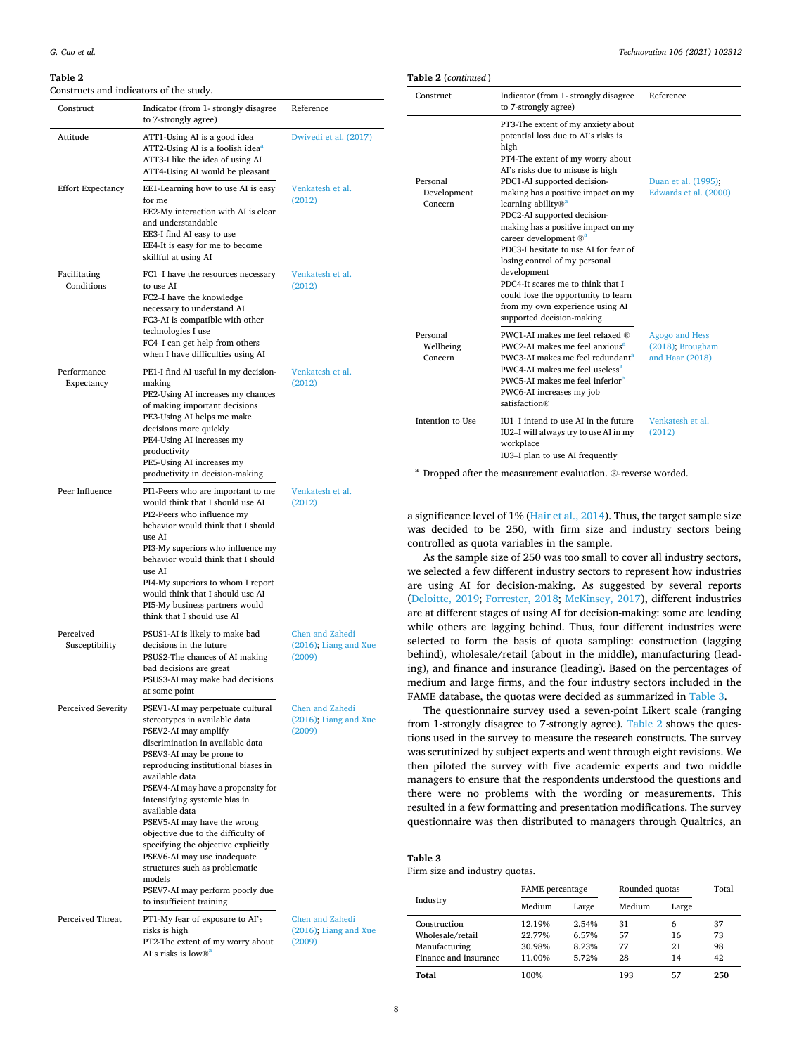#### <span id="page-7-0"></span>**Table 2**

Constructs and indicators of the study.

|            | Table 2 (continued)                |                                                                                                                                                                                                                                                                                                     |                                                         |
|------------|------------------------------------|-----------------------------------------------------------------------------------------------------------------------------------------------------------------------------------------------------------------------------------------------------------------------------------------------------|---------------------------------------------------------|
|            | Construct                          | Indicator (from 1- strongly disagree<br>to 7-strongly agree)                                                                                                                                                                                                                                        | Reference                                               |
| al. (2017) |                                    | PT3-The extent of my anxiety about<br>potential loss due to AI's risks is<br>high<br>PT4-The extent of my worry about<br>AI's risks due to misuse is high                                                                                                                                           |                                                         |
| et al.     | Personal<br>Development<br>Concern | PDC1-AI supported decision-<br>making has a positive impact on my<br>learning ability $\mathbb{R}^{\mathsf{a}}$<br>PDC2-AI supported decision-<br>making has a positive impact on my<br>career development ® <sup>a</sup><br>PDC3-I hesitate to use AI for fear of<br>losing control of my personal | Duan et al. (1995);<br>Edwards et al. (2000)            |
| et al.     |                                    | development<br>PDC4-It scares me to think that I<br>could lose the opportunity to learn<br>from my own experience using AI<br>supported decision-making                                                                                                                                             |                                                         |
| et al.     | Personal<br>Wellbeing<br>Concern   | PWC1-AI makes me feel relaxed ®<br>PWC2-AI makes me feel anxious <sup>a</sup><br>PWC3-AI makes me feel redundant <sup>a</sup><br>PWC4-AI makes me feel useless <sup>a</sup><br>PWC5-AI makes me feel inferior <sup>a</sup><br>PWC6-AI increases my job<br>satisfaction®                             | Agogo and Hess<br>(2018); Brougham<br>and Haar $(2018)$ |
|            | Intention to Use                   | IU1-I intend to use AI in the future<br>IU2-I will always try to use AI in my<br>workplace<br>IU3-I plan to use AI frequently                                                                                                                                                                       | Venkatesh et al.<br>(2012)                              |

<sup>a</sup> Dropped after the measurement evaluation. ®-reverse worded.

a significance level of 1% ([Hair et al., 2014\)](#page-13-0). Thus, the target sample size was decided to be 250, with firm size and industry sectors being

controlled as quota variables in the sample. As the sample size of 250 was too small to cover all industry sectors, we selected a few different industry sectors to represent how industries are using AI for decision-making. As suggested by several reports ([Deloitte, 2019](#page-13-0); [Forrester, 2018](#page-13-0); [McKinsey, 2017](#page-13-0)), different industries are at different stages of using AI for decision-making: some are leading while others are lagging behind. Thus, four different industries were selected to form the basis of quota sampling: construction (lagging behind), wholesale/retail (about in the middle), manufacturing (leading), and finance and insurance (leading). Based on the percentages of medium and large firms, and the four industry sectors included in the FAME database, the quotas were decided as summarized in Table 3.

The questionnaire survey used a seven-point Likert scale (ranging from 1-strongly disagree to 7-strongly agree). Table 2 shows the questions used in the survey to measure the research constructs. The survey was scrutinized by subject experts and went through eight revisions. We then piloted the survey with five academic experts and two middle managers to ensure that the respondents understood the questions and there were no problems with the wording or measurements. This resulted in a few formatting and presentation modifications. The survey questionnaire was then distributed to managers through Qualtrics, an

| Table 3 |  |
|---------|--|
|         |  |

Firm size and industry quotas.

|                       | <b>FAME</b> percentage |                | Rounded quotas | Total |     |
|-----------------------|------------------------|----------------|----------------|-------|-----|
| Industry              | Medium                 | Large          | Medium         | Large |     |
| Construction          | 12.19%                 | 2.54%          | 31             | 6     | 37  |
| Wholesale/retail      | 22.77%                 | 6.57%<br>8.23% | 57             | 16    | 73  |
| Manufacturing         | 30.98%                 |                | 77             | 21    | 98  |
| Finance and insurance | 11.00%                 | 5.72%          | 28             | 14    | 42  |
| Total                 | 100%                   |                | 193            | 57    | 250 |

| Construct                   | Indicator (from 1- strongly disagree<br>to 7-strongly agree)                                                                                                                                                                                                                                                                                                                                                                                                                                                                                                      | Reference                                             |
|-----------------------------|-------------------------------------------------------------------------------------------------------------------------------------------------------------------------------------------------------------------------------------------------------------------------------------------------------------------------------------------------------------------------------------------------------------------------------------------------------------------------------------------------------------------------------------------------------------------|-------------------------------------------------------|
| Attitude                    | ATT1-Using AI is a good idea<br>ATT2-Using AI is a foolish idea <sup>a</sup><br>ATT3-I like the idea of using AI<br>ATT4-Using AI would be pleasant                                                                                                                                                                                                                                                                                                                                                                                                               | Dwivedi et al. (2017)                                 |
| <b>Effort Expectancy</b>    | EE1-Learning how to use AI is easy<br>for me<br>EE2-My interaction with AI is clear<br>and understandable<br>EE3-I find AI easy to use<br>EE4-It is easy for me to become<br>skillful at using AI                                                                                                                                                                                                                                                                                                                                                                 | Venkatesh et al.<br>(2012)                            |
| Facilitating<br>Conditions  | FC1-I have the resources necessary<br>to use AI<br>FC2-I have the knowledge<br>necessary to understand AI<br>FC3-AI is compatible with other<br>technologies I use<br>FC4-I can get help from others<br>when I have difficulties using AI                                                                                                                                                                                                                                                                                                                         | Venkatesh et al.<br>(2012)                            |
| Performance<br>Expectancy   | PE1-I find AI useful in my decision-<br>making<br>PE2-Using AI increases my chances<br>of making important decisions<br>PE3-Using AI helps me make<br>decisions more quickly<br>PE4-Using AI increases my<br>productivity<br>PE5-Using AI increases my<br>productivity in decision-making                                                                                                                                                                                                                                                                         | Venkatesh et al.<br>(2012)                            |
| Peer Influence              | PI1-Peers who are important to me<br>would think that I should use AI<br>PI2-Peers who influence my<br>behavior would think that I should<br>use AI<br>PI3-My superiors who influence my<br>behavior would think that I should<br>use AI<br>PI4-My superiors to whom I report<br>would think that I should use AI<br>PI5-My business partners would<br>think that I should use AI                                                                                                                                                                                 | Venkatesh et al.<br>(2012)                            |
| Perceived<br>Susceptibility | PSUS1-AI is likely to make bad<br>decisions in the future<br>PSUS2-The chances of AI making<br>bad decisions are great<br>PSUS3-AI may make bad decisions<br>at some point                                                                                                                                                                                                                                                                                                                                                                                        | Chen and Zahedi<br>$(2016)$ ; Liang and Xue<br>(2009) |
| Perceived Severity          | PSEV1-AI may perpetuate cultural<br>stereotypes in available data<br>PSEV2-AI may amplify<br>discrimination in available data<br>PSEV3-AI may be prone to<br>reproducing institutional biases in<br>available data<br>PSEV4-AI may have a propensity for<br>intensifying systemic bias in<br>available data<br>PSEV5-AI may have the wrong<br>objective due to the difficulty of<br>specifying the objective explicitly<br>PSEV6-AI may use inadequate<br>structures such as problematic<br>models<br>PSEV7-AI may perform poorly due<br>to insufficient training | Chen and Zahedi<br>$(2016)$ ; Liang and Xue<br>(2009) |
| Perceived Threat            | PT1-My fear of exposure to AI's<br>risks is high                                                                                                                                                                                                                                                                                                                                                                                                                                                                                                                  | Chen and Zahedi<br>$(2016)$ : Liang and Xue           |

risks is high PT2-The extent of my worry about [\(2009\)](#page-13-0)  AI's risks is low $\mathbb{R}^a$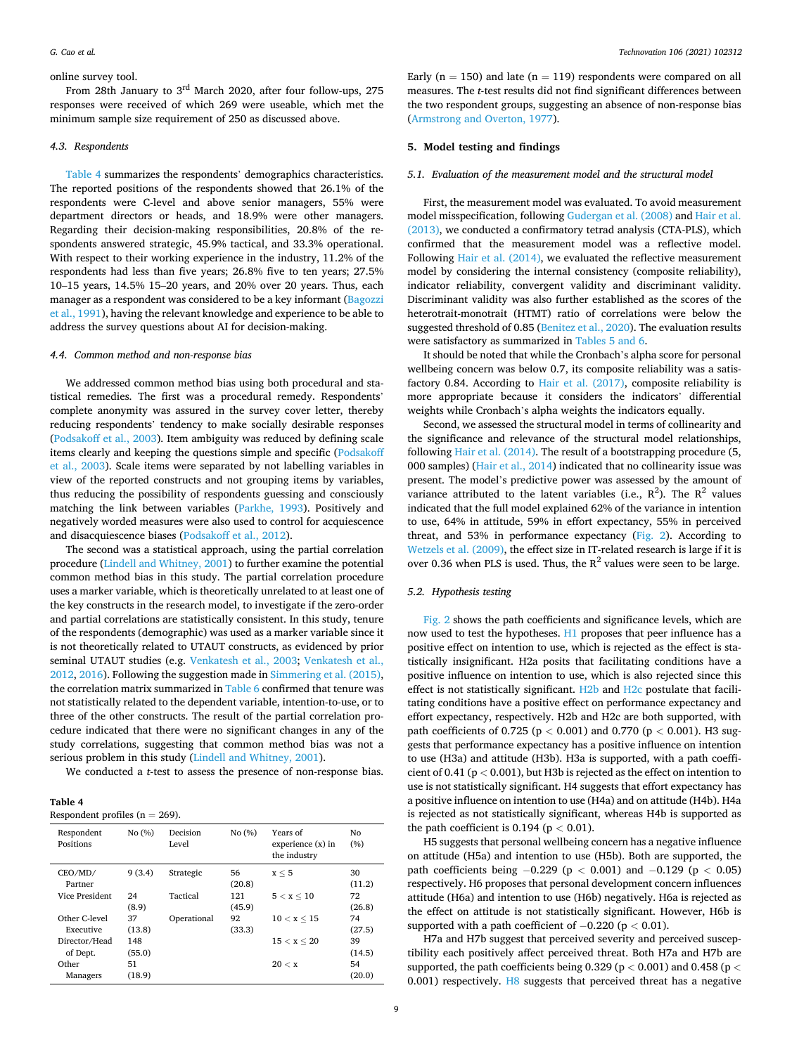# online survey tool.

From 28th January to 3rd March 2020, after four follow-ups, 275 responses were received of which 269 were useable, which met the minimum sample size requirement of 250 as discussed above.

# *4.3. Respondents*

Table 4 summarizes the respondents' demographics characteristics. The reported positions of the respondents showed that 26.1% of the respondents were C-level and above senior managers, 55% were department directors or heads, and 18.9% were other managers. Regarding their decision-making responsibilities, 20.8% of the respondents answered strategic, 45.9% tactical, and 33.3% operational. With respect to their working experience in the industry, 11.2% of the respondents had less than five years; 26.8% five to ten years; 27.5% 10–15 years, 14.5% 15–20 years, and 20% over 20 years. Thus, each manager as a respondent was considered to be a key informant ([Bagozzi](#page-12-0)  [et al., 1991](#page-12-0)), having the relevant knowledge and experience to be able to address the survey questions about AI for decision-making.

# *4.4. Common method and non-response bias*

We addressed common method bias using both procedural and statistical remedies. The first was a procedural remedy. Respondents' complete anonymity was assured in the survey cover letter, thereby reducing respondents' tendency to make socially desirable responses ([Podsakoff et al., 2003\)](#page-13-0). Item ambiguity was reduced by defining scale items clearly and keeping the questions simple and specific [\(Podsakoff](#page-13-0)  [et al., 2003](#page-13-0)). Scale items were separated by not labelling variables in view of the reported constructs and not grouping items by variables, thus reducing the possibility of respondents guessing and consciously matching the link between variables [\(Parkhe, 1993](#page-13-0)). Positively and negatively worded measures were also used to control for acquiescence and disacquiescence biases [\(Podsakoff et al., 2012](#page-14-0)).

The second was a statistical approach, using the partial correlation procedure [\(Lindell and Whitney, 2001\)](#page-13-0) to further examine the potential common method bias in this study. The partial correlation procedure uses a marker variable, which is theoretically unrelated to at least one of the key constructs in the research model, to investigate if the zero-order and partial correlations are statistically consistent. In this study, tenure of the respondents (demographic) was used as a marker variable since it is not theoretically related to UTAUT constructs, as evidenced by prior seminal UTAUT studies (e.g. [Venkatesh et al., 2003;](#page-14-0) [Venkatesh et al.,](#page-14-0)  [2012, 2016\)](#page-14-0). Following the suggestion made in [Simmering et al. \(2015\)](#page-14-0), the correlation matrix summarized in [Table 6](#page-9-0) confirmed that tenure was not statistically related to the dependent variable, intention-to-use, or to three of the other constructs. The result of the partial correlation procedure indicated that there were no significant changes in any of the study correlations, suggesting that common method bias was not a serious problem in this study ([Lindell and Whitney, 2001](#page-13-0)).

We conducted a *t*-test to assess the presence of non-response bias.

#### **Table 4**  Respondent profiles ( $n = 269$ ).

| Respondent<br>Positions | No(%)  | Decision<br>Level | No (%)       | Years of<br>experience $(x)$ in<br>the industry | No<br>(%)    |
|-------------------------|--------|-------------------|--------------|-------------------------------------------------|--------------|
| CEO/MD/<br>Partner      | 9(3.4) | Strategic         | 56<br>(20.8) | x < 5                                           | 30<br>(11.2) |
| Vice President          | 24     | Tactical          | 121          | 5 < x < 10                                      | 72           |
|                         | (8.9)  |                   | (45.9)       |                                                 | (26.8)       |
| Other C-level           | 37     | Operational       | 92           | 10 < x < 15                                     | 74           |
| Executive               | (13.8) |                   | (33.3)       |                                                 | (27.5)       |
| Director/Head           | 148    |                   |              | 15 < x < 20                                     | 39           |
| of Dept.                | (55.0) |                   |              |                                                 | (14.5)       |
| Other                   | 51     |                   |              | 20 < x                                          | 54           |
| Managers                | (18.9) |                   |              |                                                 | (20.0)       |

Early ( $n = 150$ ) and late ( $n = 119$ ) respondents were compared on all measures. The *t*-test results did not find significant differences between the two respondent groups, suggesting an absence of non-response bias ([Armstrong and Overton, 1977\)](#page-12-0).

# **5. Model testing and findings**

#### *5.1. Evaluation of the measurement model and the structural model*

First, the measurement model was evaluated. To avoid measurement model misspecification, following [Gudergan et al. \(2008\)](#page-13-0) and [Hair et al.](#page-13-0)  [\(2013\),](#page-13-0) we conducted a confirmatory tetrad analysis (CTA-PLS), which confirmed that the measurement model was a reflective model. Following [Hair et al. \(2014\),](#page-13-0) we evaluated the reflective measurement model by considering the internal consistency (composite reliability), indicator reliability, convergent validity and discriminant validity. Discriminant validity was also further established as the scores of the heterotrait-monotrait (HTMT) ratio of correlations were below the suggested threshold of 0.85 ([Benitez et al., 2020\)](#page-12-0). The evaluation results were satisfactory as summarized in [Tables 5 and 6](#page-9-0).

It should be noted that while the Cronbach's alpha score for personal wellbeing concern was below 0.7, its composite reliability was a satisfactory 0.84. According to [Hair et al. \(2017\),](#page-13-0) composite reliability is more appropriate because it considers the indicators' differential weights while Cronbach's alpha weights the indicators equally.

Second, we assessed the structural model in terms of collinearity and the significance and relevance of the structural model relationships, following [Hair et al. \(2014\).](#page-13-0) The result of a bootstrapping procedure (5, 000 samples) [\(Hair et al., 2014\)](#page-13-0) indicated that no collinearity issue was present. The model's predictive power was assessed by the amount of variance attributed to the latent variables (i.e.,  $R^2$ ). The  $R^2$  values indicated that the full model explained 62% of the variance in intention to use, 64% in attitude, 59% in effort expectancy, 55% in perceived threat, and 53% in performance expectancy ([Fig. 2\)](#page-10-0). According to [Wetzels et al. \(2009\)](#page-14-0), the effect size in IT-related research is large if it is over 0.36 when PLS is used. Thus, the  $R^2$  values were seen to be large.

# *5.2. Hypothesis testing*

[Fig. 2](#page-10-0) shows the path coefficients and significance levels, which are now used to test the hypotheses. H1 proposes that peer influence has a positive effect on intention to use, which is rejected as the effect is statistically insignificant. H2a posits that facilitating conditions have a positive influence on intention to use, which is also rejected since this effect is not statistically significant. H2b and H2c postulate that facilitating conditions have a positive effect on performance expectancy and effort expectancy, respectively. H2b and H2c are both supported, with path coefficients of 0.725 (p *<* 0.001) and 0.770 (p *<* 0.001). H3 suggests that performance expectancy has a positive influence on intention to use (H3a) and attitude (H3b). H3a is supported, with a path coefficient of 0.41 (p *<* 0.001), but H3b is rejected as the effect on intention to use is not statistically significant. H4 suggests that effort expectancy has a positive influence on intention to use (H4a) and on attitude (H4b). H4a is rejected as not statistically significant, whereas H4b is supported as the path coefficient is 0.194 (p *<* 0.01).

H5 suggests that personal wellbeing concern has a negative influence on attitude (H5a) and intention to use (H5b). Both are supported, the path coefficients being −0.229 (p *<* 0.001) and −0.129 (p *<* 0.05) respectively. H6 proposes that personal development concern influences attitude (H6a) and intention to use (H6b) negatively. H6a is rejected as the effect on attitude is not statistically significant. However, H6b is supported with a path coefficient of −0.220 (p *<* 0.01).

H7a and H7b suggest that perceived severity and perceived susceptibility each positively affect perceived threat. Both H7a and H7b are supported, the path coefficients being 0.329 (p *<* 0.001) and 0.458 (p *<* 0.001) respectively. H8 suggests that perceived threat has a negative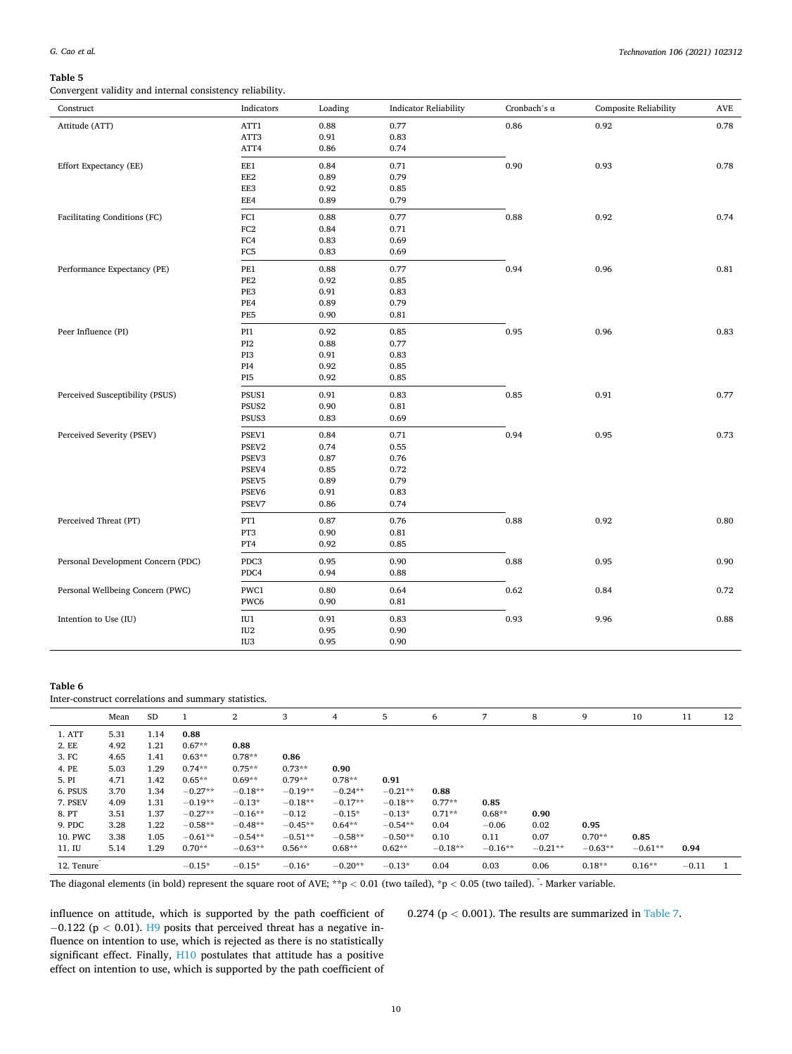#### <span id="page-9-0"></span>**Table 5**

Convergent validity and internal consistency reliability.

| Construct                          | Indicators      | Loading | <b>Indicator Reliability</b> | Cronbach's $\alpha$ | Composite Reliability | $\operatorname{AVE}$ |
|------------------------------------|-----------------|---------|------------------------------|---------------------|-----------------------|----------------------|
| Attitude (ATT)                     | ATT1            | 0.88    | 0.77                         | 0.86                | 0.92                  | 0.78                 |
|                                    | ATT3            | 0.91    | 0.83                         |                     |                       |                      |
|                                    | ATT4            | 0.86    | 0.74                         |                     |                       |                      |
| Effort Expectancy (EE)             | EE1             | 0.84    | 0.71                         | 0.90                | 0.93                  | 0.78                 |
|                                    | EE2             | 0.89    | 0.79                         |                     |                       |                      |
|                                    | EE3             | 0.92    | 0.85                         |                     |                       |                      |
|                                    | EE4             | 0.89    | 0.79                         |                     |                       |                      |
| Facilitating Conditions (FC)       | FC1             | 0.88    | 0.77                         | 0.88                | 0.92                  | 0.74                 |
|                                    | $_{\rm FC2}$    | 0.84    | 0.71                         |                     |                       |                      |
|                                    | FC4             | 0.83    | 0.69                         |                     |                       |                      |
|                                    | FC5             | 0.83    | 0.69                         |                     |                       |                      |
| Performance Expectancy (PE)        | PE1             | 0.88    | 0.77                         | 0.94                | 0.96                  | 0.81                 |
|                                    | PE <sub>2</sub> | 0.92    | 0.85                         |                     |                       |                      |
|                                    | PE3             | 0.91    | 0.83                         |                     |                       |                      |
|                                    | PE4             | 0.89    | 0.79                         |                     |                       |                      |
|                                    | PE5             | 0.90    | 0.81                         |                     |                       |                      |
| Peer Influence (PI)                | PI1             | 0.92    | 0.85                         | 0.95                | 0.96                  | 0.83                 |
|                                    | PI <sub>2</sub> | 0.88    | 0.77                         |                     |                       |                      |
|                                    | PI3             | 0.91    | 0.83                         |                     |                       |                      |
|                                    | PI4             | 0.92    | 0.85                         |                     |                       |                      |
|                                    | PI <sub>5</sub> | 0.92    | 0.85                         |                     |                       |                      |
| Perceived Susceptibility (PSUS)    | PSUS1           | 0.91    | 0.83                         | 0.85                | 0.91                  | 0.77                 |
|                                    | PSUS2           | 0.90    | 0.81                         |                     |                       |                      |
|                                    | PSUS3           | 0.83    | 0.69                         |                     |                       |                      |
| Perceived Severity (PSEV)          | PSEV1           | 0.84    | 0.71                         | 0.94                | 0.95                  | 0.73                 |
|                                    | PSEV2           | 0.74    | 0.55                         |                     |                       |                      |
|                                    | PSEV3           | 0.87    | 0.76                         |                     |                       |                      |
|                                    | PSEV4           | 0.85    | 0.72                         |                     |                       |                      |
|                                    | PSEV5           | 0.89    | 0.79                         |                     |                       |                      |
|                                    | PSEV6           | 0.91    | 0.83                         |                     |                       |                      |
|                                    | PSEV7           | 0.86    | 0.74                         |                     |                       |                      |
| Perceived Threat (PT)              | PT1             | 0.87    | 0.76                         | 0.88                | 0.92                  | 0.80                 |
|                                    | PT3             | 0.90    | 0.81                         |                     |                       |                      |
|                                    | PT4             | 0.92    | 0.85                         |                     |                       |                      |
| Personal Development Concern (PDC) | PDC3            | 0.95    | 0.90                         | 0.88                | 0.95                  | 0.90                 |
|                                    | PDC4            | 0.94    | 0.88                         |                     |                       |                      |
| Personal Wellbeing Concern (PWC)   | PWC1            | 0.80    | 0.64                         | 0.62                | 0.84                  | 0.72                 |
|                                    | PWC6            | 0.90    | 0.81                         |                     |                       |                      |
| Intention to Use (IU)              | IU1             | 0.91    | 0.83                         | 0.93                | 9.96                  | 0.88                 |
|                                    | ${\rm IU2}$     | 0.95    | 0.90                         |                     |                       |                      |
|                                    | IU <sub>3</sub> | 0.95    | 0.90                         |                     |                       |                      |

# **Table 6**

Inter-construct correlations and summary statistics.

|            | Mean | <b>SD</b> |           | 2         | 3         | 4         | 5         | 6         | 7         | 8         | 9         | 10        | 11      | 12 |
|------------|------|-----------|-----------|-----------|-----------|-----------|-----------|-----------|-----------|-----------|-----------|-----------|---------|----|
| 1. ATT     | 5.31 | 1.14      | 0.88      |           |           |           |           |           |           |           |           |           |         |    |
| 2. EE      | 4.92 | 1.21      | $0.67**$  | 0.88      |           |           |           |           |           |           |           |           |         |    |
| 3. FC      | 4.65 | 1.41      | $0.63**$  | $0.78**$  | 0.86      |           |           |           |           |           |           |           |         |    |
| 4. PE      | 5.03 | 1.29      | $0.74**$  | $0.75**$  | $0.73**$  | 0.90      |           |           |           |           |           |           |         |    |
| 5. PI      | 4.71 | 1.42      | $0.65**$  | $0.69**$  | $0.79**$  | $0.78**$  | 0.91      |           |           |           |           |           |         |    |
| 6. PSUS    | 3.70 | 1.34      | $-0.27**$ | $-0.18**$ | $-0.19**$ | $-0.24**$ | $-0.21**$ | 0.88      |           |           |           |           |         |    |
| 7. PSEV    | 4.09 | 1.31      | $-0.19**$ | $-0.13*$  | $-0.18**$ | $-0.17**$ | $-0.18**$ | $0.77**$  | 0.85      |           |           |           |         |    |
| 8. PT      | 3.51 | 1.37      | $-0.27**$ | $-0.16**$ | $-0.12$   | $-0.15*$  | $-0.13*$  | $0.71**$  | $0.68**$  | 0.90      |           |           |         |    |
| 9. PDC     | 3.28 | 1.22      | $-0.58**$ | $-0.48**$ | $-0.45**$ | $0.64**$  | $-0.54**$ | 0.04      | $-0.06$   | 0.02      | 0.95      |           |         |    |
| 10. PWC    | 3.38 | 1.05      | $-0.61**$ | $-0.54**$ | $-0.51**$ | $-0.58**$ | $-0.50**$ | 0.10      | 0.11      | 0.07      | $0.70**$  | 0.85      |         |    |
| 11. IU     | 5.14 | 1.29      | $0.70**$  | $-0.63**$ | $0.56**$  | $0.68**$  | $0.62**$  | $-0.18**$ | $-0.16**$ | $-0.21**$ | $-0.63**$ | $-0.61**$ | 0.94    |    |
| 12. Tenure |      |           | $-0.15*$  | $-0.15*$  | $-0.16*$  | $-0.20**$ | $-0.13*$  | 0.04      | 0.03      | 0.06      | $0.18**$  | $0.16**$  | $-0.11$ |    |

The diagonal elements (in bold) represent the square root of AVE; \*\*p < 0.01 (two tailed), \*p < 0.05 (two tailed).  $\cdot$  Marker variable.

influence on attitude, which is supported by the path coefficient of −0.122 (p *<* 0.01). H9 posits that perceived threat has a negative influence on intention to use, which is rejected as there is no statistically significant effect. Finally, H10 postulates that attitude has a positive effect on intention to use, which is supported by the path coefficient of 0.274 ( $p < 0.001$ ). The results are summarized in [Table 7.](#page-10-0)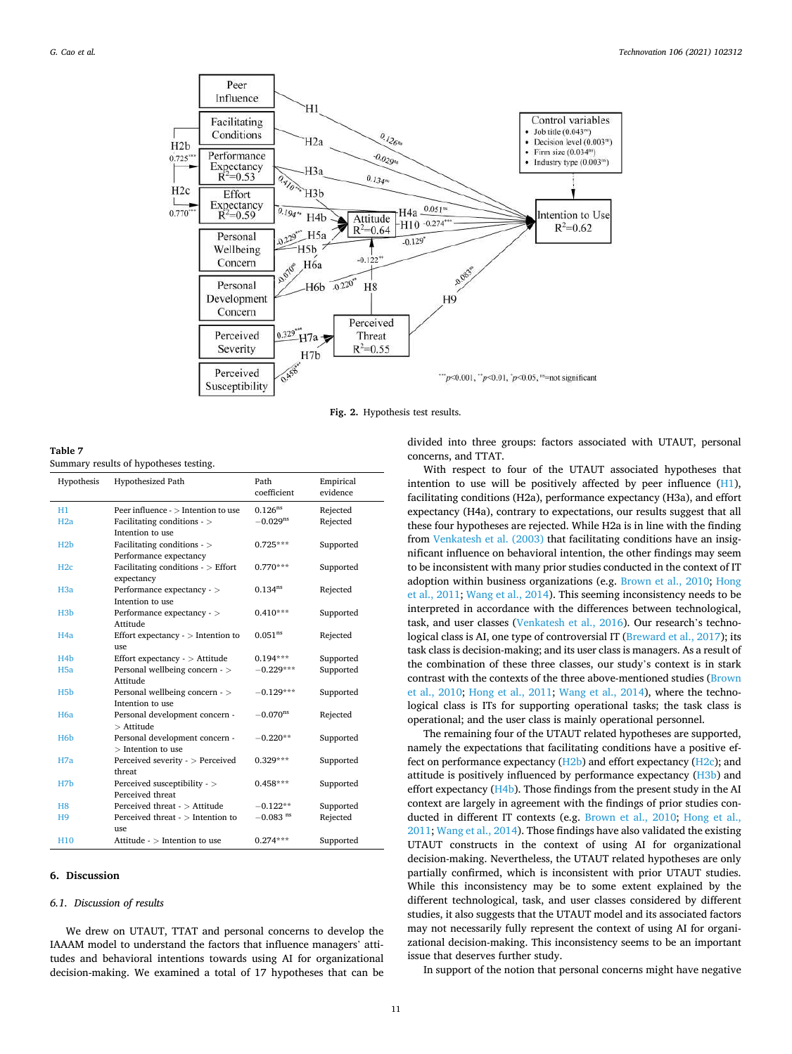<span id="page-10-0"></span>

**Fig. 2.** Hypothesis test results.

**Table 7**  Summary results of hypotheses testing.

| Hypothesis       | <b>Hypothesized Path</b>                         | Path                   | Empirical |
|------------------|--------------------------------------------------|------------------------|-----------|
|                  |                                                  | coefficient            | evidence  |
| H1               | Peer influence - > Intention to use              | $0.126^{ns}$           | Rejected  |
| H2a              | Facilitating conditions - $>$                    | $-0.029$ <sup>ns</sup> | Rejected  |
|                  | Intention to use                                 |                        |           |
| H2b              | Facilitating conditions - >                      | $0.725***$             | Supported |
|                  | Performance expectancy                           |                        |           |
| H2c              | Facilitating conditions - $>$ Effort             | $0.770***$             | Supported |
|                  | expectancy                                       |                        |           |
| H <sub>3</sub> a | Performance expectancy - >                       | $0.134^{ns}$           | Rejected  |
|                  | Intention to use                                 |                        |           |
| H <sub>3</sub> b | Performance expectancy - >                       | $0.410***$             | Supported |
|                  | Attitude                                         |                        |           |
| H <sub>4</sub> a | Effort expectancy $\cdot$ > Intention to         | 0.051 <sup>ns</sup>    | Rejected  |
|                  | use                                              |                        |           |
| H <sub>4</sub> b | Effort expectancy - $>$ Attitude                 | $0.194***$             | Supported |
| H <sub>5a</sub>  | Personal wellbeing concern - >                   | $-0.229***$            | Supported |
|                  | Attitude                                         |                        |           |
| H <sub>5</sub> b | Personal wellbeing concern - >                   | $-0.129***$            | Supported |
|                  | Intention to use                                 |                        |           |
| H <sub>6</sub> a | Personal development concern -                   | $-0.070$ <sup>ns</sup> | Rejected  |
|                  | $>$ Attitude                                     |                        |           |
| H <sub>6</sub> h | Personal development concern -                   | $-0.220**$             | Supported |
|                  | $>$ Intention to use                             |                        |           |
| H7a              | Perceived severity - > Perceived                 | $0.329***$             | Supported |
|                  | threat                                           |                        |           |
| H <sub>7</sub> b | Perceived susceptibility - ><br>Perceived threat | $0.458***$             | Supported |
|                  |                                                  |                        |           |
| H <sub>8</sub>   | Perceived threat - > Attitude                    | $-0.122**$             | Supported |
| H9               | Perceived threat $\sim$ Intention to             | $-0.083$ <sup>ns</sup> | Rejected  |
|                  | use                                              |                        |           |
| H10              | Attitude - > Intention to use                    | $0.274***$             | Supported |

# **6. Discussion**

## *6.1. Discussion of results*

We drew on UTAUT, TTAT and personal concerns to develop the IAAAM model to understand the factors that influence managers' attitudes and behavioral intentions towards using AI for organizational decision-making. We examined a total of 17 hypotheses that can be divided into three groups: factors associated with UTAUT, personal concerns, and TTAT.

With respect to four of the UTAUT associated hypotheses that intention to use will be positively affected by peer influence (H1), facilitating conditions (H2a), performance expectancy (H3a), and effort expectancy (H4a), contrary to expectations, our results suggest that all these four hypotheses are rejected. While H2a is in line with the finding from [Venkatesh et al. \(2003\)](#page-14-0) that facilitating conditions have an insignificant influence on behavioral intention, the other findings may seem to be inconsistent with many prior studies conducted in the context of IT adoption within business organizations (e.g. [Brown et al., 2010;](#page-12-0) [Hong](#page-13-0)  [et al., 2011](#page-13-0); [Wang et al., 2014\)](#page-14-0). This seeming inconsistency needs to be interpreted in accordance with the differences between technological, task, and user classes ([Venkatesh et al., 2016\)](#page-14-0). Our research's technological class is AI, one type of controversial IT [\(Breward et al., 2017](#page-12-0)); its task class is decision-making; and its user class is managers. As a result of the combination of these three classes, our study's context is in stark contrast with the contexts of the three above-mentioned studies ([Brown](#page-12-0)  [et al., 2010;](#page-12-0) [Hong et al., 2011;](#page-13-0) [Wang et al., 2014\)](#page-14-0), where the technological class is ITs for supporting operational tasks; the task class is operational; and the user class is mainly operational personnel.

The remaining four of the UTAUT related hypotheses are supported, namely the expectations that facilitating conditions have a positive effect on performance expectancy (H2b) and effort expectancy (H2c); and attitude is positively influenced by performance expectancy (H3b) and effort expectancy (H4b). Those findings from the present study in the AI context are largely in agreement with the findings of prior studies conducted in different IT contexts (e.g. [Brown et al., 2010;](#page-12-0) [Hong et al.,](#page-13-0)  [2011;](#page-13-0) [Wang et al., 2014](#page-14-0)). Those findings have also validated the existing UTAUT constructs in the context of using AI for organizational decision-making. Nevertheless, the UTAUT related hypotheses are only partially confirmed, which is inconsistent with prior UTAUT studies. While this inconsistency may be to some extent explained by the different technological, task, and user classes considered by different studies, it also suggests that the UTAUT model and its associated factors may not necessarily fully represent the context of using AI for organizational decision-making. This inconsistency seems to be an important issue that deserves further study.

In support of the notion that personal concerns might have negative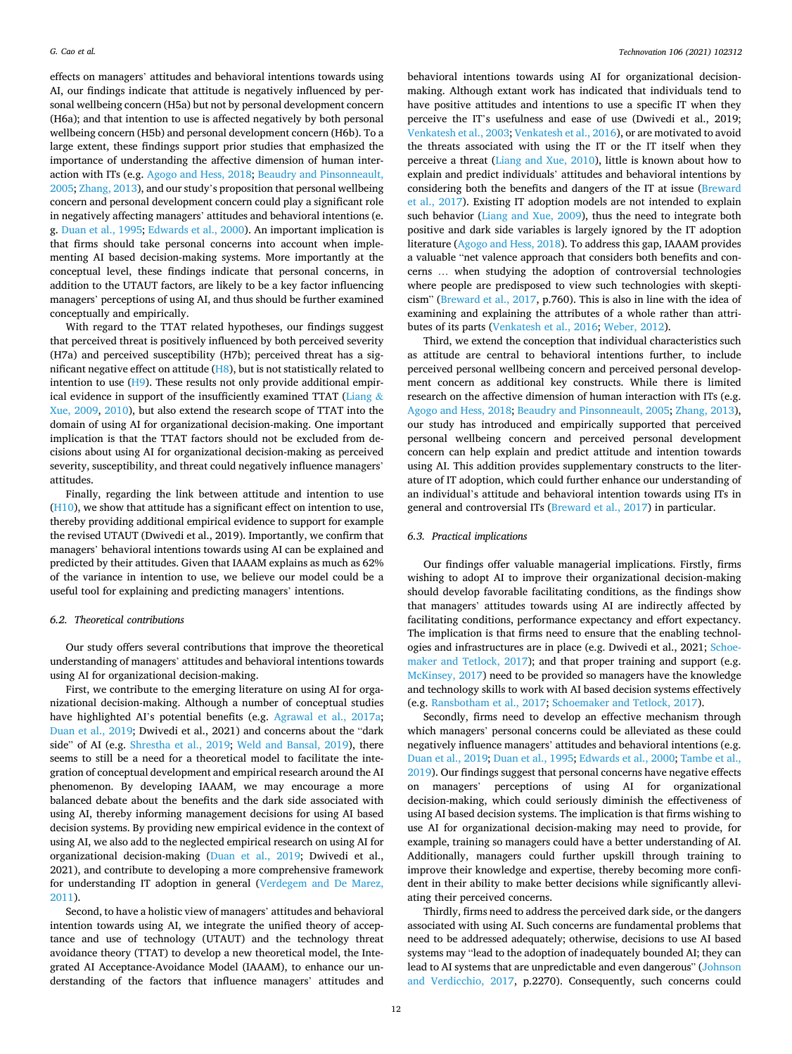effects on managers' attitudes and behavioral intentions towards using AI, our findings indicate that attitude is negatively influenced by personal wellbeing concern (H5a) but not by personal development concern (H6a); and that intention to use is affected negatively by both personal wellbeing concern (H5b) and personal development concern (H6b). To a large extent, these findings support prior studies that emphasized the importance of understanding the affective dimension of human interaction with ITs (e.g. [Agogo and Hess, 2018](#page-12-0); [Beaudry and Pinsonneault,](#page-12-0)  [2005;](#page-12-0) [Zhang, 2013](#page-14-0)), and our study's proposition that personal wellbeing concern and personal development concern could play a significant role in negatively affecting managers' attitudes and behavioral intentions (e. g. [Duan et al., 1995](#page-13-0); [Edwards et al., 2000\)](#page-13-0). An important implication is that firms should take personal concerns into account when implementing AI based decision-making systems. More importantly at the conceptual level, these findings indicate that personal concerns, in addition to the UTAUT factors, are likely to be a key factor influencing managers' perceptions of using AI, and thus should be further examined conceptually and empirically.

With regard to the TTAT related hypotheses, our findings suggest that perceived threat is positively influenced by both perceived severity (H7a) and perceived susceptibility (H7b); perceived threat has a significant negative effect on attitude (H8), but is not statistically related to intention to use  $(H9)$ . These results not only provide additional empir-ical evidence in support of the insufficiently examined TTAT [\(Liang](#page-13-0)  $\&$ [Xue, 2009,](#page-13-0) [2010\)](#page-13-0), but also extend the research scope of TTAT into the domain of using AI for organizational decision-making. One important implication is that the TTAT factors should not be excluded from decisions about using AI for organizational decision-making as perceived severity, susceptibility, and threat could negatively influence managers' attitudes.

Finally, regarding the link between attitude and intention to use (H10), we show that attitude has a significant effect on intention to use, thereby providing additional empirical evidence to support for example the revised UTAUT (Dwivedi et al., 2019). Importantly, we confirm that managers' behavioral intentions towards using AI can be explained and predicted by their attitudes. Given that IAAAM explains as much as 62% of the variance in intention to use, we believe our model could be a useful tool for explaining and predicting managers' intentions.

### *6.2. Theoretical contributions*

Our study offers several contributions that improve the theoretical understanding of managers' attitudes and behavioral intentions towards using AI for organizational decision-making.

First, we contribute to the emerging literature on using AI for organizational decision-making. Although a number of conceptual studies have highlighted AI's potential benefits (e.g. [Agrawal et al., 2017a](#page-12-0); [Duan et al., 2019;](#page-13-0) Dwivedi et al., 2021) and concerns about the "dark side" of AI (e.g. [Shrestha et al., 2019](#page-14-0); [Weld and Bansal, 2019](#page-14-0)), there seems to still be a need for a theoretical model to facilitate the integration of conceptual development and empirical research around the AI phenomenon. By developing IAAAM, we may encourage a more balanced debate about the benefits and the dark side associated with using AI, thereby informing management decisions for using AI based decision systems. By providing new empirical evidence in the context of using AI, we also add to the neglected empirical research on using AI for organizational decision-making [\(Duan et al., 2019](#page-13-0); Dwivedi et al., 2021), and contribute to developing a more comprehensive framework for understanding IT adoption in general [\(Verdegem and De Marez,](#page-14-0)  [2011\)](#page-14-0).

Second, to have a holistic view of managers' attitudes and behavioral intention towards using AI, we integrate the unified theory of acceptance and use of technology (UTAUT) and the technology threat avoidance theory (TTAT) to develop a new theoretical model, the Integrated AI Acceptance-Avoidance Model (IAAAM), to enhance our understanding of the factors that influence managers' attitudes and

behavioral intentions towards using AI for organizational decisionmaking. Although extant work has indicated that individuals tend to have positive attitudes and intentions to use a specific IT when they perceive the IT's usefulness and ease of use (Dwivedi et al., 2019; [Venkatesh et al., 2003](#page-14-0); [Venkatesh et al., 2016\)](#page-14-0), or are motivated to avoid the threats associated with using the IT or the IT itself when they perceive a threat ([Liang and Xue, 2010](#page-13-0)), little is known about how to explain and predict individuals' attitudes and behavioral intentions by considering both the benefits and dangers of the IT at issue (Breward [et al., 2017\)](#page-12-0). Existing IT adoption models are not intended to explain such behavior [\(Liang and Xue, 2009](#page-13-0)), thus the need to integrate both positive and dark side variables is largely ignored by the IT adoption literature [\(Agogo and Hess, 2018\)](#page-12-0). To address this gap, IAAAM provides a valuable "net valence approach that considers both benefits and concerns … when studying the adoption of controversial technologies where people are predisposed to view such technologies with skepticism" [\(Breward et al., 2017,](#page-12-0) p.760). This is also in line with the idea of examining and explaining the attributes of a whole rather than attributes of its parts ([Venkatesh et al., 2016; Weber, 2012\)](#page-14-0).

Third, we extend the conception that individual characteristics such as attitude are central to behavioral intentions further, to include perceived personal wellbeing concern and perceived personal development concern as additional key constructs. While there is limited research on the affective dimension of human interaction with ITs (e.g. [Agogo and Hess, 2018; Beaudry and Pinsonneault, 2005;](#page-12-0) [Zhang, 2013](#page-14-0)), our study has introduced and empirically supported that perceived personal wellbeing concern and perceived personal development concern can help explain and predict attitude and intention towards using AI. This addition provides supplementary constructs to the literature of IT adoption, which could further enhance our understanding of an individual's attitude and behavioral intention towards using ITs in general and controversial ITs ([Breward et al., 2017](#page-12-0)) in particular.

# *6.3. Practical implications*

Our findings offer valuable managerial implications. Firstly, firms wishing to adopt AI to improve their organizational decision-making should develop favorable facilitating conditions, as the findings show that managers' attitudes towards using AI are indirectly affected by facilitating conditions, performance expectancy and effort expectancy. The implication is that firms need to ensure that the enabling technologies and infrastructures are in place (e.g. Dwivedi et al., 2021; [Schoe](#page-14-0)[maker and Tetlock, 2017](#page-14-0)); and that proper training and support (e.g. [McKinsey, 2017](#page-13-0)) need to be provided so managers have the knowledge and technology skills to work with AI based decision systems effectively (e.g. [Ransbotham et al., 2017;](#page-14-0) [Schoemaker and Tetlock, 2017\)](#page-14-0).

Secondly, firms need to develop an effective mechanism through which managers' personal concerns could be alleviated as these could negatively influence managers' attitudes and behavioral intentions (e.g. [Duan et al., 2019; Duan et al., 1995; Edwards et al., 2000;](#page-13-0) [Tambe et al.,](#page-14-0)  [2019\)](#page-14-0). Our findings suggest that personal concerns have negative effects on managers' perceptions of using AI for organizational decision-making, which could seriously diminish the effectiveness of using AI based decision systems. The implication is that firms wishing to use AI for organizational decision-making may need to provide, for example, training so managers could have a better understanding of AI. Additionally, managers could further upskill through training to improve their knowledge and expertise, thereby becoming more confident in their ability to make better decisions while significantly alleviating their perceived concerns.

Thirdly, firms need to address the perceived dark side, or the dangers associated with using AI. Such concerns are fundamental problems that need to be addressed adequately; otherwise, decisions to use AI based systems may "lead to the adoption of inadequately bounded AI; they can lead to AI systems that are unpredictable and even dangerous" [\(Johnson](#page-13-0)  [and Verdicchio, 2017,](#page-13-0) p.2270). Consequently, such concerns could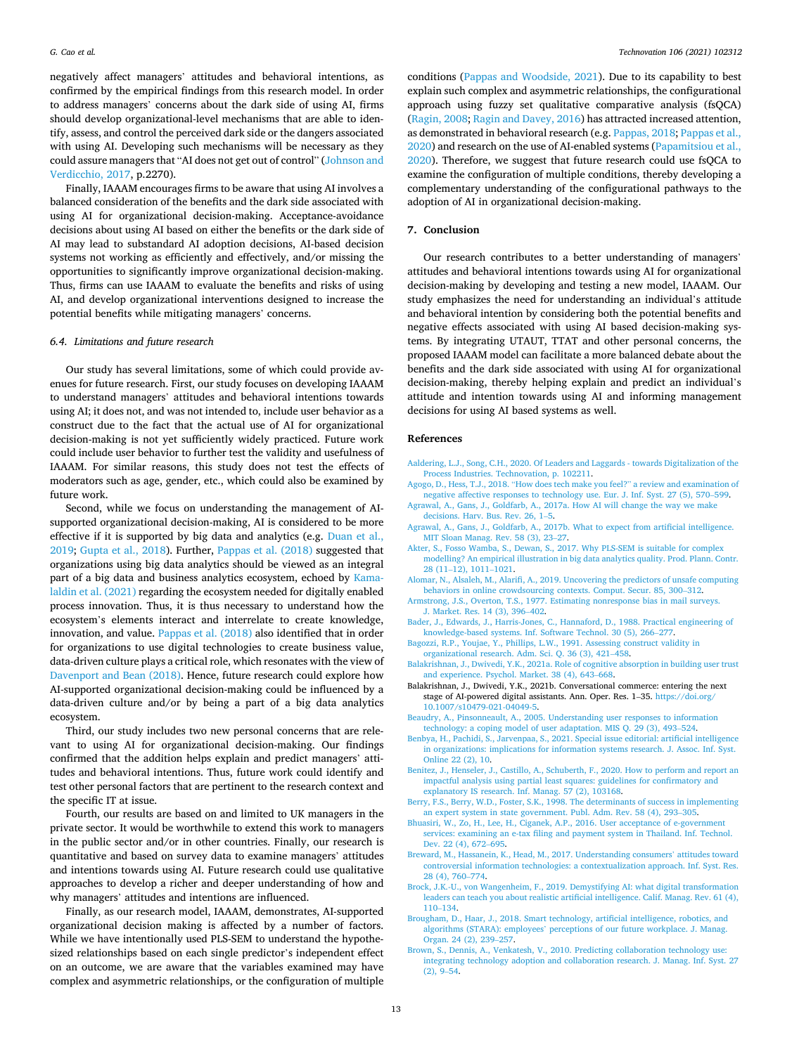<span id="page-12-0"></span>negatively affect managers' attitudes and behavioral intentions, as confirmed by the empirical findings from this research model. In order to address managers' concerns about the dark side of using AI, firms should develop organizational-level mechanisms that are able to identify, assess, and control the perceived dark side or the dangers associated with using AI. Developing such mechanisms will be necessary as they could assure managers that "AI does not get out of control" ([Johnson and](#page-13-0)  [Verdicchio, 2017](#page-13-0), p.2270).

Finally, IAAAM encourages firms to be aware that using AI involves a balanced consideration of the benefits and the dark side associated with using AI for organizational decision-making. Acceptance-avoidance decisions about using AI based on either the benefits or the dark side of AI may lead to substandard AI adoption decisions, AI-based decision systems not working as efficiently and effectively, and/or missing the opportunities to significantly improve organizational decision-making. Thus, firms can use IAAAM to evaluate the benefits and risks of using AI, and develop organizational interventions designed to increase the potential benefits while mitigating managers' concerns.

## *6.4. Limitations and future research*

Our study has several limitations, some of which could provide avenues for future research. First, our study focuses on developing IAAAM to understand managers' attitudes and behavioral intentions towards using AI; it does not, and was not intended to, include user behavior as a construct due to the fact that the actual use of AI for organizational decision-making is not yet sufficiently widely practiced. Future work could include user behavior to further test the validity and usefulness of IAAAM. For similar reasons, this study does not test the effects of moderators such as age, gender, etc., which could also be examined by future work.

Second, while we focus on understanding the management of AIsupported organizational decision-making, AI is considered to be more effective if it is supported by big data and analytics (e.g. [Duan et al.,](#page-13-0)  [2019; Gupta et al., 2018\)](#page-13-0). Further, [Pappas et al. \(2018\)](#page-13-0) suggested that organizations using big data analytics should be viewed as an integral part of a big data and business analytics ecosystem, echoed by [Kama](#page-13-0)[laldin et al. \(2021\)](#page-13-0) regarding the ecosystem needed for digitally enabled process innovation. Thus, it is thus necessary to understand how the ecosystem's elements interact and interrelate to create knowledge, innovation, and value. [Pappas et al. \(2018\)](#page-13-0) also identified that in order for organizations to use digital technologies to create business value, data-driven culture plays a critical role, which resonates with the view of [Davenport and Bean \(2018\)](#page-13-0). Hence, future research could explore how AI-supported organizational decision-making could be influenced by a data-driven culture and/or by being a part of a big data analytics ecosystem.

Third, our study includes two new personal concerns that are relevant to using AI for organizational decision-making. Our findings confirmed that the addition helps explain and predict managers' attitudes and behavioral intentions. Thus, future work could identify and test other personal factors that are pertinent to the research context and the specific IT at issue.

Fourth, our results are based on and limited to UK managers in the private sector. It would be worthwhile to extend this work to managers in the public sector and/or in other countries. Finally, our research is quantitative and based on survey data to examine managers' attitudes and intentions towards using AI. Future research could use qualitative approaches to develop a richer and deeper understanding of how and why managers' attitudes and intentions are influenced.

Finally, as our research model, IAAAM, demonstrates, AI-supported organizational decision making is affected by a number of factors. While we have intentionally used PLS-SEM to understand the hypothesized relationships based on each single predictor's independent effect on an outcome, we are aware that the variables examined may have complex and asymmetric relationships, or the configuration of multiple

conditions [\(Pappas and Woodside, 2021](#page-13-0)). Due to its capability to best explain such complex and asymmetric relationships, the configurational approach using fuzzy set qualitative comparative analysis (fsQCA) ([Ragin, 2008; Ragin and Davey, 2016\)](#page-14-0) has attracted increased attention, as demonstrated in behavioral research (e.g. [Pappas, 2018](#page-13-0); [Pappas et al.,](#page-13-0)  [2020\)](#page-13-0) and research on the use of AI-enabled systems [\(Papamitsiou et al.,](#page-13-0)  [2020\)](#page-13-0). Therefore, we suggest that future research could use fsQCA to examine the configuration of multiple conditions, thereby developing a complementary understanding of the configurational pathways to the adoption of AI in organizational decision-making.

### **7. Conclusion**

Our research contributes to a better understanding of managers' attitudes and behavioral intentions towards using AI for organizational decision-making by developing and testing a new model, IAAAM. Our study emphasizes the need for understanding an individual's attitude and behavioral intention by considering both the potential benefits and negative effects associated with using AI based decision-making systems. By integrating UTAUT, TTAT and other personal concerns, the proposed IAAAM model can facilitate a more balanced debate about the benefits and the dark side associated with using AI for organizational decision-making, thereby helping explain and predict an individual's attitude and intention towards using AI and informing management decisions for using AI based systems as well.

## **References**

- [Aaldering, L.J., Song, C.H., 2020. Of Leaders and Laggards towards Digitalization of the](http://refhub.elsevier.com/S0166-4972(21)00093-6/sref1)  [Process Industries. Technovation, p. 102211.](http://refhub.elsevier.com/S0166-4972(21)00093-6/sref1)
- Agogo, D., Hess, T.J., 2018. "[How does tech make you feel?](http://refhub.elsevier.com/S0166-4972(21)00093-6/sref2)" a review and examination of [negative affective responses to technology use. Eur. J. Inf. Syst. 27 \(5\), 570](http://refhub.elsevier.com/S0166-4972(21)00093-6/sref2)–599.
- [Agrawal, A., Gans, J., Goldfarb, A., 2017a. How AI will change the way we make](http://refhub.elsevier.com/S0166-4972(21)00093-6/sref3)  [decisions. Harv. Bus. Rev. 26, 1](http://refhub.elsevier.com/S0166-4972(21)00093-6/sref3)–5.
- [Agrawal, A., Gans, J., Goldfarb, A., 2017b. What to expect from artificial intelligence.](http://refhub.elsevier.com/S0166-4972(21)00093-6/sref4) [MIT Sloan Manag. Rev. 58 \(3\), 23](http://refhub.elsevier.com/S0166-4972(21)00093-6/sref4)–27.
- [Akter, S., Fosso Wamba, S., Dewan, S., 2017. Why PLS-SEM is suitable for complex](http://refhub.elsevier.com/S0166-4972(21)00093-6/sref5) [modelling? An empirical illustration in big data analytics quality. Prod. Plann. Contr.](http://refhub.elsevier.com/S0166-4972(21)00093-6/sref5)  28 (11–[12\), 1011](http://refhub.elsevier.com/S0166-4972(21)00093-6/sref5)–1021.
- [Alomar, N., Alsaleh, M., Alarifi, A., 2019. Uncovering the predictors of unsafe computing](http://refhub.elsevier.com/S0166-4972(21)00093-6/sref6)  [behaviors in online crowdsourcing contexts. Comput. Secur. 85, 300](http://refhub.elsevier.com/S0166-4972(21)00093-6/sref6)–312.
- [Armstrong, J.S., Overton, T.S., 1977. Estimating nonresponse bias in mail surveys.](http://refhub.elsevier.com/S0166-4972(21)00093-6/sref7)  [J. Market. Res. 14 \(3\), 396](http://refhub.elsevier.com/S0166-4972(21)00093-6/sref7)–402.
- [Bader, J., Edwards, J., Harris-Jones, C., Hannaford, D., 1988. Practical engineering of](http://refhub.elsevier.com/S0166-4972(21)00093-6/sref8) [knowledge-based systems. Inf. Software Technol. 30 \(5\), 266](http://refhub.elsevier.com/S0166-4972(21)00093-6/sref8)–277.
- [Bagozzi, R.P., Youjae, Y., Phillips, L.W., 1991. Assessing construct validity in](http://refhub.elsevier.com/S0166-4972(21)00093-6/sref9) [organizational research. Adm. Sci. Q. 36 \(3\), 421](http://refhub.elsevier.com/S0166-4972(21)00093-6/sref9)–458.
- [Balakrishnan, J., Dwivedi, Y.K., 2021a. Role of cognitive absorption in building user trust](http://refhub.elsevier.com/S0166-4972(21)00093-6/sref10)  [and experience. Psychol. Market. 38 \(4\), 643](http://refhub.elsevier.com/S0166-4972(21)00093-6/sref10)–668.
- Balakrishnan, J., Dwivedi, Y.K., 2021b. Conversational commerce: entering the next stage of AI-powered digital assistants. Ann. Oper. Res. 1–35. [https://doi.org/](https://doi.org/10.1007/s10479-021-04049-5) [10.1007/s10479-021-04049-5.](https://doi.org/10.1007/s10479-021-04049-5)
- [Beaudry, A., Pinsonneault, A., 2005. Understanding user responses to information](http://refhub.elsevier.com/S0166-4972(21)00093-6/sref12) [technology: a coping model of user adaptation. MIS Q. 29 \(3\), 493](http://refhub.elsevier.com/S0166-4972(21)00093-6/sref12)–524.
- [Benbya, H., Pachidi, S., Jarvenpaa, S., 2021. Special issue editorial: artificial intelligence](http://refhub.elsevier.com/S0166-4972(21)00093-6/sref13)  [in organizations: implications for information systems research. J. Assoc. Inf. Syst.](http://refhub.elsevier.com/S0166-4972(21)00093-6/sref13)  [Online 22 \(2\), 10](http://refhub.elsevier.com/S0166-4972(21)00093-6/sref13).
- [Benitez, J., Henseler, J., Castillo, A., Schuberth, F., 2020. How to perform and report an](http://refhub.elsevier.com/S0166-4972(21)00093-6/sref14)  [impactful analysis using partial least squares: guidelines for confirmatory and](http://refhub.elsevier.com/S0166-4972(21)00093-6/sref14) [explanatory IS research. Inf. Manag. 57 \(2\), 103168](http://refhub.elsevier.com/S0166-4972(21)00093-6/sref14).
- [Berry, F.S., Berry, W.D., Foster, S.K., 1998. The determinants of success in implementing](http://refhub.elsevier.com/S0166-4972(21)00093-6/sref15)  [an expert system in state government. Publ. Adm. Rev. 58 \(4\), 293](http://refhub.elsevier.com/S0166-4972(21)00093-6/sref15)–305.
- [Bhuasiri, W., Zo, H., Lee, H., Ciganek, A.P., 2016. User acceptance of e-government](http://refhub.elsevier.com/S0166-4972(21)00093-6/sref16)  [services: examining an e-tax filing and payment system in Thailand. Inf. Technol.](http://refhub.elsevier.com/S0166-4972(21)00093-6/sref16) [Dev. 22 \(4\), 672](http://refhub.elsevier.com/S0166-4972(21)00093-6/sref16)–695.
- [Breward, M., Hassanein, K., Head, M., 2017. Understanding consumers](http://refhub.elsevier.com/S0166-4972(21)00093-6/sref17)' attitudes toward [controversial information technologies: a contextualization approach. Inf. Syst. Res.](http://refhub.elsevier.com/S0166-4972(21)00093-6/sref17)  [28 \(4\), 760](http://refhub.elsevier.com/S0166-4972(21)00093-6/sref17)–774.
- [Brock, J.K.-U., von Wangenheim, F., 2019. Demystifying AI: what digital transformation](http://refhub.elsevier.com/S0166-4972(21)00093-6/sref18)  [leaders can teach you about realistic artificial intelligence. Calif. Manag. Rev. 61 \(4\),](http://refhub.elsevier.com/S0166-4972(21)00093-6/sref18)  110–[134](http://refhub.elsevier.com/S0166-4972(21)00093-6/sref18).
- [Brougham, D., Haar, J., 2018. Smart technology, artificial intelligence, robotics, and](http://refhub.elsevier.com/S0166-4972(21)00093-6/sref19)  algorithms (STARA): employees' [perceptions of our future workplace. J. Manag.](http://refhub.elsevier.com/S0166-4972(21)00093-6/sref19)  [Organ. 24 \(2\), 239](http://refhub.elsevier.com/S0166-4972(21)00093-6/sref19)–257.
- [Brown, S., Dennis, A., Venkatesh, V., 2010. Predicting collaboration technology use:](http://refhub.elsevier.com/S0166-4972(21)00093-6/sref20) [integrating technology adoption and collaboration research. J. Manag. Inf. Syst. 27](http://refhub.elsevier.com/S0166-4972(21)00093-6/sref20)  [\(2\), 9](http://refhub.elsevier.com/S0166-4972(21)00093-6/sref20)–54.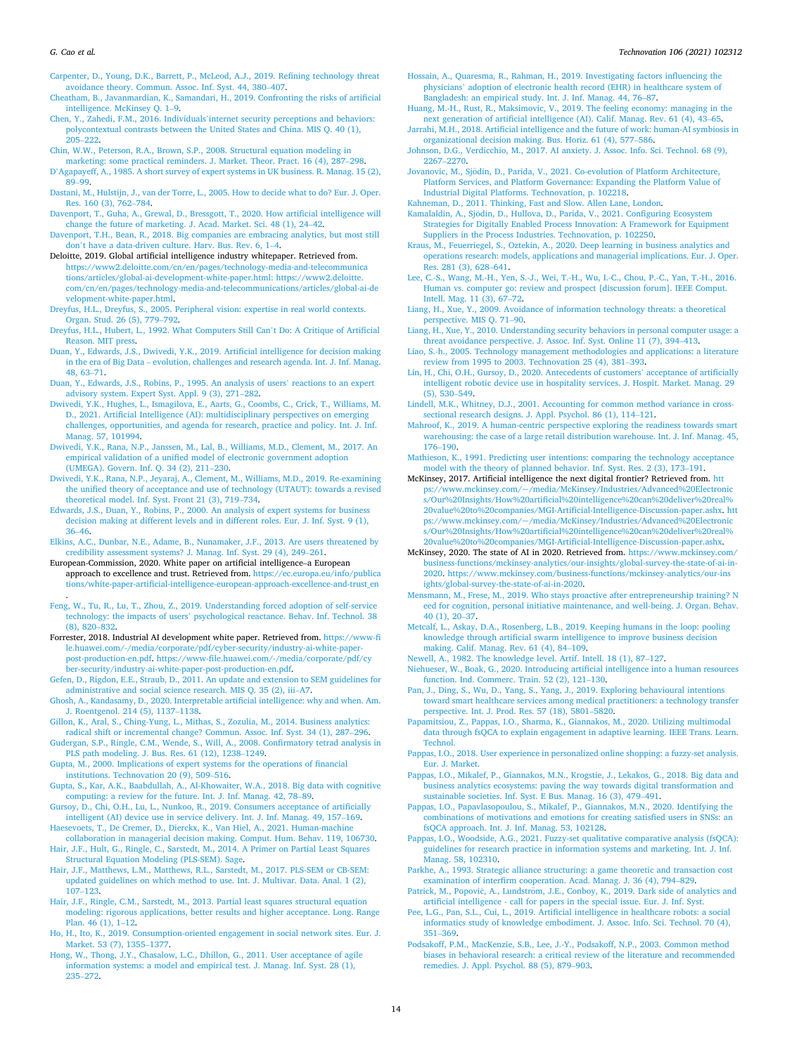<span id="page-13-0"></span>[Carpenter, D., Young, D.K., Barrett, P., McLeod, A.J., 2019. Refining technology threat](http://refhub.elsevier.com/S0166-4972(21)00093-6/sref21) [avoidance theory. Commun. Assoc. Inf. Syst. 44, 380](http://refhub.elsevier.com/S0166-4972(21)00093-6/sref21)–407.

[Cheatham, B., Javanmardian, K., Samandari, H., 2019. Confronting the risks of artificial](http://refhub.elsevier.com/S0166-4972(21)00093-6/sref22)  [intelligence. McKinsey Q. 1](http://refhub.elsevier.com/S0166-4972(21)00093-6/sref22)–9.

- Chen, Y., Zahedi, F.M., 2016. Individuals'[internet security perceptions and behaviors:](http://refhub.elsevier.com/S0166-4972(21)00093-6/sref23) [polycontextual contrasts between the United States and China. MIS Q. 40 \(1\),](http://refhub.elsevier.com/S0166-4972(21)00093-6/sref23)  205–[222](http://refhub.elsevier.com/S0166-4972(21)00093-6/sref23).
- [Chin, W.W., Peterson, R.A., Brown, S.P., 2008. Structural equation modeling in](http://refhub.elsevier.com/S0166-4972(21)00093-6/sref24)
- [marketing: some practical reminders. J. Market. Theor. Pract. 16 \(4\), 287](http://refhub.elsevier.com/S0166-4972(21)00093-6/sref24)–298. D'[Agapayeff, A., 1985. A short survey of expert systems in UK business. R. Manag. 15 \(2\),](http://refhub.elsevier.com/S0166-4972(21)00093-6/sref25)  89–[99](http://refhub.elsevier.com/S0166-4972(21)00093-6/sref25).
- [Dastani, M., Hulstijn, J., van der Torre, L., 2005. How to decide what to do? Eur. J. Oper.](http://refhub.elsevier.com/S0166-4972(21)00093-6/sref26)  [Res. 160 \(3\), 762](http://refhub.elsevier.com/S0166-4972(21)00093-6/sref26)–784.
- [Davenport, T., Guha, A., Grewal, D., Bressgott, T., 2020. How artificial intelligence will](http://refhub.elsevier.com/S0166-4972(21)00093-6/sref27)  [change the future of marketing. J. Acad. Market. Sci. 48 \(1\), 24](http://refhub.elsevier.com/S0166-4972(21)00093-6/sref27)–42.
- [Davenport, T.H., Bean, R., 2018. Big companies are embracing analytics, but most still](http://refhub.elsevier.com/S0166-4972(21)00093-6/sref28) don'[t have a data-driven culture. Harv. Bus. Rev. 6, 1](http://refhub.elsevier.com/S0166-4972(21)00093-6/sref28)–4.
- Deloitte, 2019. Global artificial intelligence industry whitepaper. Retrieved from.<br>https://www2.deloitte.com/cn/en/pages/technology-media-and-telecommunica https://www2.deloitte.com/cn/en/pages/technology-me [tions/articles/global-ai-development-white-paper.html: https://www2.deloitte.](https://www2.deloitte.com/cn/en/pages/technology-media-and-telecommunications/articles/global-ai-development-white-paper.html:%20https://www2.deloitte.com/cn/en/pages/technology-media-and-telecommunications/articles/global-ai-development-white-paper.html)  [com/cn/en/pages/technology-media-and-telecommunications/articles/global-ai-de](https://www2.deloitte.com/cn/en/pages/technology-media-and-telecommunications/articles/global-ai-development-white-paper.html:%20https://www2.deloitte.com/cn/en/pages/technology-media-and-telecommunications/articles/global-ai-development-white-paper.html)  [velopment-white-paper.html](https://www2.deloitte.com/cn/en/pages/technology-media-and-telecommunications/articles/global-ai-development-white-paper.html:%20https://www2.deloitte.com/cn/en/pages/technology-media-and-telecommunications/articles/global-ai-development-white-paper.html).
- [Dreyfus, H.L., Dreyfus, S., 2005. Peripheral vision: expertise in real world contexts.](http://refhub.elsevier.com/S0166-4972(21)00093-6/sref30) [Organ. Stud. 26 \(5\), 779](http://refhub.elsevier.com/S0166-4972(21)00093-6/sref30)–792.
- [Dreyfus, H.L., Hubert, L., 1992. What Computers Still Can](http://refhub.elsevier.com/S0166-4972(21)00093-6/sref31)'t Do: A Critique of Artificial [Reason. MIT press](http://refhub.elsevier.com/S0166-4972(21)00093-6/sref31).
- [Duan, Y., Edwards, J.S., Dwivedi, Y.K., 2019. Artificial intelligence for decision making](http://refhub.elsevier.com/S0166-4972(21)00093-6/sref32)  in the era of Big Data – [evolution, challenges and research agenda. Int. J. Inf. Manag.](http://refhub.elsevier.com/S0166-4972(21)00093-6/sref32)  [48, 63](http://refhub.elsevier.com/S0166-4972(21)00093-6/sref32)–71.
- [Duan, Y., Edwards, J.S., Robins, P., 1995. An analysis of users](http://refhub.elsevier.com/S0166-4972(21)00093-6/sref33)' reactions to an expert [advisory system. Expert Syst. Appl. 9 \(3\), 271](http://refhub.elsevier.com/S0166-4972(21)00093-6/sref33)–282.
- [Dwivedi, Y.K., Hughes, L., Ismagilova, E., Aarts, G., Coombs, C., Crick, T., Williams, M.](http://refhub.elsevier.com/S0166-4972(21)00093-6/sref34)  [D., 2021. Artificial Intelligence \(AI\): multidisciplinary perspectives on emerging](http://refhub.elsevier.com/S0166-4972(21)00093-6/sref34)  [challenges, opportunities, and agenda for research, practice and policy. Int. J. Inf.](http://refhub.elsevier.com/S0166-4972(21)00093-6/sref34)  [Manag. 57, 101994](http://refhub.elsevier.com/S0166-4972(21)00093-6/sref34).
- [Dwivedi, Y.K., Rana, N.P., Janssen, M., Lal, B., Williams, M.D., Clement, M., 2017. An](http://refhub.elsevier.com/S0166-4972(21)00093-6/sref35) [empirical validation of a unified model of electronic government adoption](http://refhub.elsevier.com/S0166-4972(21)00093-6/sref35) [\(UMEGA\). Govern. Inf. Q. 34 \(2\), 211](http://refhub.elsevier.com/S0166-4972(21)00093-6/sref35)–230.
- [Dwivedi, Y.K., Rana, N.P., Jeyaraj, A., Clement, M., Williams, M.D., 2019. Re-examining](http://refhub.elsevier.com/S0166-4972(21)00093-6/sref36)  [the unified theory of acceptance and use of technology \(UTAUT\): towards a revised](http://refhub.elsevier.com/S0166-4972(21)00093-6/sref36)  [theoretical model. Inf. Syst. Front 21 \(3\), 719](http://refhub.elsevier.com/S0166-4972(21)00093-6/sref36)–734.
- [Edwards, J.S., Duan, Y., Robins, P., 2000. An analysis of expert systems for business](http://refhub.elsevier.com/S0166-4972(21)00093-6/sref37) [decision making at different levels and in different roles. Eur. J. Inf. Syst. 9 \(1\),](http://refhub.elsevier.com/S0166-4972(21)00093-6/sref37)  36–[46](http://refhub.elsevier.com/S0166-4972(21)00093-6/sref37).
- [Elkins, A.C., Dunbar, N.E., Adame, B., Nunamaker, J.F., 2013. Are users threatened by](http://refhub.elsevier.com/S0166-4972(21)00093-6/sref38)  [credibility assessment systems? J. Manag. Inf. Syst. 29 \(4\), 249](http://refhub.elsevier.com/S0166-4972(21)00093-6/sref38)–261.
- European-Commission, 2020. White paper on artificial intelligence–a European approach to excellence and trust. Retrieved from. [https://ec.europa.eu/info/publica](https://ec.europa.eu/info/publications/white-paper-artificial-intelligence-european-approach-excellence-and-trust_en)  [tions/white-paper-artificial-intelligence-european-approach-excellence-and-trust\\_en](https://ec.europa.eu/info/publications/white-paper-artificial-intelligence-european-approach-excellence-and-trust_en)
- . [Feng, W., Tu, R., Lu, T., Zhou, Z., 2019. Understanding forced adoption of self-service](http://refhub.elsevier.com/S0166-4972(21)00093-6/sref40)  technology: the impacts of users' [psychological reactance. Behav. Inf. Technol. 38](http://refhub.elsevier.com/S0166-4972(21)00093-6/sref40)  [\(8\), 820](http://refhub.elsevier.com/S0166-4972(21)00093-6/sref40)–832.
- Forrester, 2018. Industrial AI development white paper. Retrieved from. [https://www-fi](https://www-file.huawei.com/-/media/corporate/pdf/cyber-security/industry-ai-white-paper-post-production-en.pdf)  [le.huawei.com/-/media/corporate/pdf/cyber-security/industry-ai-white-paper](https://www-file.huawei.com/-/media/corporate/pdf/cyber-security/industry-ai-white-paper-post-production-en.pdf)[post-production-en.pdf](https://www-file.huawei.com/-/media/corporate/pdf/cyber-security/industry-ai-white-paper-post-production-en.pdf). [https://www-file.huawei.com/-/media/corporate/pdf/cy](https://www-file.huawei.com/-/media/corporate/pdf/cyber-security/industry-ai-white-paper-post-production-en.pdf)  [ber-security/industry-ai-white-paper-post-production-en.pdf](https://www-file.huawei.com/-/media/corporate/pdf/cyber-security/industry-ai-white-paper-post-production-en.pdf).
- [Gefen, D., Rigdon, E.E., Straub, D., 2011. An update and extension to SEM guidelines for](http://refhub.elsevier.com/S0166-4972(21)00093-6/sref42)  [administrative and social science research. MIS Q. 35 \(2\), iii](http://refhub.elsevier.com/S0166-4972(21)00093-6/sref42)–A7.
- [Ghosh, A., Kandasamy, D., 2020. Interpretable artificial intelligence: why and when. Am.](http://refhub.elsevier.com/S0166-4972(21)00093-6/sref43)  [J. Roentgenol. 214 \(5\), 1137](http://refhub.elsevier.com/S0166-4972(21)00093-6/sref43)–1138.
- [Gillon, K., Aral, S., Ching-Yung, L., Mithas, S., Zozulia, M., 2014. Business analytics:](http://refhub.elsevier.com/S0166-4972(21)00093-6/sref44) [radical shift or incremental change? Commun. Assoc. Inf. Syst. 34 \(1\), 287](http://refhub.elsevier.com/S0166-4972(21)00093-6/sref44)–296. [Gudergan, S.P., Ringle, C.M., Wende, S., Will, A., 2008. Confirmatory tetrad analysis in](http://refhub.elsevier.com/S0166-4972(21)00093-6/sref45)
- [PLS path modeling. J. Bus. Res. 61 \(12\), 1238](http://refhub.elsevier.com/S0166-4972(21)00093-6/sref45)–1249. [Gupta, M., 2000. Implications of expert systems for the operations of financial](http://refhub.elsevier.com/S0166-4972(21)00093-6/sref46)
- [institutions. Technovation 20 \(9\), 509](http://refhub.elsevier.com/S0166-4972(21)00093-6/sref46)–516.
- [Gupta, S., Kar, A.K., Baabdullah, A., Al-Khowaiter, W.A., 2018. Big data with cognitive](http://refhub.elsevier.com/S0166-4972(21)00093-6/sref47)  [computing: a review for the future. Int. J. Inf. Manag. 42, 78](http://refhub.elsevier.com/S0166-4972(21)00093-6/sref47)–89.
- [Gursoy, D., Chi, O.H., Lu, L., Nunkoo, R., 2019. Consumers acceptance of artificially](http://refhub.elsevier.com/S0166-4972(21)00093-6/sref48) [intelligent \(AI\) device use in service delivery. Int. J. Inf. Manag. 49, 157](http://refhub.elsevier.com/S0166-4972(21)00093-6/sref48)–169.
- [Haesevoets, T., De Cremer, D., Dierckx, K., Van Hiel, A., 2021. Human-machine](http://refhub.elsevier.com/S0166-4972(21)00093-6/sref49)  [collaboration in managerial decision making. Comput. Hum. Behav. 119, 106730.](http://refhub.elsevier.com/S0166-4972(21)00093-6/sref49)
- [Hair, J.F., Hult, G., Ringle, C., Sarstedt, M., 2014. A Primer on Partial Least Squares](http://refhub.elsevier.com/S0166-4972(21)00093-6/sref50) [Structural Equation Modeling \(PLS-SEM\). Sage.](http://refhub.elsevier.com/S0166-4972(21)00093-6/sref50)
- [Hair, J.F., Matthews, L.M., Matthews, R.L., Sarstedt, M., 2017. PLS-SEM or CB-SEM:](http://refhub.elsevier.com/S0166-4972(21)00093-6/sref51)  [updated guidelines on which method to use. Int. J. Multivar. Data. Anal. 1 \(2\),](http://refhub.elsevier.com/S0166-4972(21)00093-6/sref51) 107–[123](http://refhub.elsevier.com/S0166-4972(21)00093-6/sref51).
- [Hair, J.F., Ringle, C.M., Sarstedt, M., 2013. Partial least squares structural equation](http://refhub.elsevier.com/S0166-4972(21)00093-6/sref52) [modeling: rigorous applications, better results and higher acceptance. Long. Range](http://refhub.elsevier.com/S0166-4972(21)00093-6/sref52)  [Plan. 46 \(1\), 1](http://refhub.elsevier.com/S0166-4972(21)00093-6/sref52)–12.
- [Ho, H., Ito, K., 2019. Consumption-oriented engagement in social network sites. Eur. J.](http://refhub.elsevier.com/S0166-4972(21)00093-6/sref53)  [Market. 53 \(7\), 1355](http://refhub.elsevier.com/S0166-4972(21)00093-6/sref53)–1377.
- [Hong, W., Thong, J.Y., Chasalow, L.C., Dhillon, G., 2011. User acceptance of agile](http://refhub.elsevier.com/S0166-4972(21)00093-6/sref54)  [information systems: a model and empirical test. J. Manag. Inf. Syst. 28 \(1\),](http://refhub.elsevier.com/S0166-4972(21)00093-6/sref54) 235–[272](http://refhub.elsevier.com/S0166-4972(21)00093-6/sref54).
- [Hossain, A., Quaresma, R., Rahman, H., 2019. Investigating factors influencing the](http://refhub.elsevier.com/S0166-4972(21)00093-6/sref55) physicians' [adoption of electronic health record \(EHR\) in healthcare system of](http://refhub.elsevier.com/S0166-4972(21)00093-6/sref55)  [Bangladesh: an empirical study. Int. J. Inf. Manag. 44, 76](http://refhub.elsevier.com/S0166-4972(21)00093-6/sref55)–87.
- [Huang, M.-H., Rust, R., Maksimovic, V., 2019. The feeling economy: managing in the](http://refhub.elsevier.com/S0166-4972(21)00093-6/sref56)  [next generation of artificial intelligence \(AI\). Calif. Manag. Rev. 61 \(4\), 43](http://refhub.elsevier.com/S0166-4972(21)00093-6/sref56)–65.
- [Jarrahi, M.H., 2018. Artificial intelligence and the future of work: human-AI symbiosis in](http://refhub.elsevier.com/S0166-4972(21)00093-6/sref57)  [organizational decision making. Bus. Horiz. 61 \(4\), 577](http://refhub.elsevier.com/S0166-4972(21)00093-6/sref57)–586.
- [Johnson, D.G., Verdicchio, M., 2017. AI anxiety. J. Assoc. Info. Sci. Technol. 68 \(9\),](http://refhub.elsevier.com/S0166-4972(21)00093-6/sref58) [2267](http://refhub.elsevier.com/S0166-4972(21)00093-6/sref58)–2270. Jovanovic, M., Sjödin, D., Parida, V., 2021. Co-evolution of Platform Architecture,
- [Platform Services, and Platform Governance: Expanding the Platform Value of](http://refhub.elsevier.com/S0166-4972(21)00093-6/sref59)  [Industrial Digital Platforms. Technovation, p. 102218](http://refhub.elsevier.com/S0166-4972(21)00093-6/sref59).
- [Kahneman, D., 2011. Thinking, Fast and Slow. Allen Lane, London](http://refhub.elsevier.com/S0166-4972(21)00093-6/sref60).
- [Kamalaldin, A., Sjodin, D., Hullova, D., Parida, V., 2021. Configuring Ecosystem](http://refhub.elsevier.com/S0166-4972(21)00093-6/sref61) ¨ [Strategies for Digitally Enabled Process Innovation: A Framework for Equipment](http://refhub.elsevier.com/S0166-4972(21)00093-6/sref61) [Suppliers in the Process Industries. Technovation, p. 102250](http://refhub.elsevier.com/S0166-4972(21)00093-6/sref61).
- [Kraus, M., Feuerriegel, S., Oztekin, A., 2020. Deep learning in business analytics and](http://refhub.elsevier.com/S0166-4972(21)00093-6/sref62) [operations research: models, applications and managerial implications. Eur. J. Oper.](http://refhub.elsevier.com/S0166-4972(21)00093-6/sref62)  [Res. 281 \(3\), 628](http://refhub.elsevier.com/S0166-4972(21)00093-6/sref62)–641.
- [Lee, C.-S., Wang, M.-H., Yen, S.-J., Wei, T.-H., Wu, I.-C., Chou, P.-C., Yan, T.-H., 2016.](http://refhub.elsevier.com/S0166-4972(21)00093-6/sref63) [Human vs. computer go: review and prospect \[discussion forum\]. IEEE Comput.](http://refhub.elsevier.com/S0166-4972(21)00093-6/sref63) [Intell. Mag. 11 \(3\), 67](http://refhub.elsevier.com/S0166-4972(21)00093-6/sref63)–72.
- [Liang, H., Xue, Y., 2009. Avoidance of information technology threats: a theoretical](http://refhub.elsevier.com/S0166-4972(21)00093-6/sref64) [perspective. MIS Q. 71](http://refhub.elsevier.com/S0166-4972(21)00093-6/sref64)–90.
- [Liang, H., Xue, Y., 2010. Understanding security behaviors in personal computer usage: a](http://refhub.elsevier.com/S0166-4972(21)00093-6/sref65)  [threat avoidance perspective. J. Assoc. Inf. Syst. Online 11 \(7\), 394](http://refhub.elsevier.com/S0166-4972(21)00093-6/sref65)–413.
- [Liao, S.-h., 2005. Technology management methodologies and applications: a literature](http://refhub.elsevier.com/S0166-4972(21)00093-6/sref66)  [review from 1995 to 2003. Technovation 25 \(4\), 381](http://refhub.elsevier.com/S0166-4972(21)00093-6/sref66)–393.
- [Lin, H., Chi, O.H., Gursoy, D., 2020. Antecedents of customers](http://refhub.elsevier.com/S0166-4972(21)00093-6/sref67)' acceptance of artificially [intelligent robotic device use in hospitality services. J. Hospit. Market. Manag. 29](http://refhub.elsevier.com/S0166-4972(21)00093-6/sref67) [\(5\), 530](http://refhub.elsevier.com/S0166-4972(21)00093-6/sref67)–549.
- [Lindell, M.K., Whitney, D.J., 2001. Accounting for common method variance in cross](http://refhub.elsevier.com/S0166-4972(21)00093-6/sref68)[sectional research designs. J. Appl. Psychol. 86 \(1\), 114](http://refhub.elsevier.com/S0166-4972(21)00093-6/sref68)–121.
- [Mahroof, K., 2019. A human-centric perspective exploring the readiness towards smart](http://refhub.elsevier.com/S0166-4972(21)00093-6/sref69)  [warehousing: the case of a large retail distribution warehouse. Int. J. Inf. Manag. 45,](http://refhub.elsevier.com/S0166-4972(21)00093-6/sref69)  176–[190](http://refhub.elsevier.com/S0166-4972(21)00093-6/sref69).
- [Mathieson, K., 1991. Predicting user intentions: comparing the technology acceptance](http://refhub.elsevier.com/S0166-4972(21)00093-6/sref70) [model with the theory of planned behavior. Inf. Syst. Res. 2 \(3\), 173](http://refhub.elsevier.com/S0166-4972(21)00093-6/sref70)–191.
- McKinsey, 2017. Artificial intelligence the next digital frontier? Retrieved from. [htt](https://www.mckinsey.com/%7E/media/McKinsey/Industries/Advanced%20Electronics/Our%20Insights/How%20artificial%20intelligence%20can%20deliver%20real%20value%20to%20companies/MGI-Artificial-Intelligence-Discussion-paper.ashx)  [ps://www.mckinsey.com/~/media/McKinsey/Industries/Advanced%20Electronic](https://www.mckinsey.com/%7E/media/McKinsey/Industries/Advanced%20Electronics/Our%20Insights/How%20artificial%20intelligence%20can%20deliver%20real%20value%20to%20companies/MGI-Artificial-Intelligence-Discussion-paper.ashx)  [s/Our%20Insights/How%20artificial%20intelligence%20can%20deliver%20real%](https://www.mckinsey.com/%7E/media/McKinsey/Industries/Advanced%20Electronics/Our%20Insights/How%20artificial%20intelligence%20can%20deliver%20real%20value%20to%20companies/MGI-Artificial-Intelligence-Discussion-paper.ashx) [20value%20to%20companies/MGI-Artificial-Intelligence-Discussion-paper.ashx](https://www.mckinsey.com/%7E/media/McKinsey/Industries/Advanced%20Electronics/Our%20Insights/How%20artificial%20intelligence%20can%20deliver%20real%20value%20to%20companies/MGI-Artificial-Intelligence-Discussion-paper.ashx). [htt](https://www.mckinsey.com/%7E/media/McKinsey/Industries/Advanced%20Electronics/Our%20Insights/How%20artificial%20intelligence%20can%20deliver%20real%20value%20to%20companies/MGI-Artificial-Intelligence-Discussion-paper.ashx) [ps://www.mckinsey.com/~/media/McKinsey/Industries/Advanced%20Electronic](https://www.mckinsey.com/%7E/media/McKinsey/Industries/Advanced%20Electronics/Our%20Insights/How%20artificial%20intelligence%20can%20deliver%20real%20value%20to%20companies/MGI-Artificial-Intelligence-Discussion-paper.ashx)  [s/Our%20Insights/How%20artificial%20intelligence%20can%20deliver%20real%](https://www.mckinsey.com/%7E/media/McKinsey/Industries/Advanced%20Electronics/Our%20Insights/How%20artificial%20intelligence%20can%20deliver%20real%20value%20to%20companies/MGI-Artificial-Intelligence-Discussion-paper.ashx) [20value%20to%20companies/MGI-Artificial-Intelligence-Discussion-paper.ashx](https://www.mckinsey.com/%7E/media/McKinsey/Industries/Advanced%20Electronics/Our%20Insights/How%20artificial%20intelligence%20can%20deliver%20real%20value%20to%20companies/MGI-Artificial-Intelligence-Discussion-paper.ashx).
- McKinsey, 2020. The state of AI in 2020. Retrieved from. [https://www.mckinsey.com/](https://www.mckinsey.com/business-functions/mckinsey-analytics/our-insights/global-survey-the-state-of-ai-in-2020)  [business-functions/mckinsey-analytics/our-insights/global-survey-the-state-of-ai-in-](https://www.mckinsey.com/business-functions/mckinsey-analytics/our-insights/global-survey-the-state-of-ai-in-2020)[2020.](https://www.mckinsey.com/business-functions/mckinsey-analytics/our-insights/global-survey-the-state-of-ai-in-2020) [https://www.mckinsey.com/business-functions/mckinsey-analytics/our-ins](https://www.mckinsey.com/business-functions/mckinsey-analytics/our-insights/global-survey-the-state-of-ai-in-2020)  [ights/global-survey-the-state-of-ai-in-2020](https://www.mckinsey.com/business-functions/mckinsey-analytics/our-insights/global-survey-the-state-of-ai-in-2020).
- Mensmann, M., Frese, M., 2019. Who stays proactive after entrepreneurship training? N [eed for cognition, personal initiative maintenance, and well-being. J. Organ. Behav.](http://refhub.elsevier.com/S0166-4972(21)00093-6/sref73)  [40 \(1\), 20](http://refhub.elsevier.com/S0166-4972(21)00093-6/sref73)–37.
- [Metcalf, L., Askay, D.A., Rosenberg, L.B., 2019. Keeping humans in the loop: pooling](http://refhub.elsevier.com/S0166-4972(21)00093-6/sref74) [knowledge through artificial swarm intelligence to improve business decision](http://refhub.elsevier.com/S0166-4972(21)00093-6/sref74) [making. Calif. Manag. Rev. 61 \(4\), 84](http://refhub.elsevier.com/S0166-4972(21)00093-6/sref74)–109.

[Newell, A., 1982. The knowledge level. Artif. Intell. 18 \(1\), 87](http://refhub.elsevier.com/S0166-4972(21)00093-6/sref75)–127.

- [Niehueser, W., Boak, G., 2020. Introducing artificial intelligence into a human resources](http://refhub.elsevier.com/S0166-4972(21)00093-6/sref77)  [function. Ind. Commerc. Train. 52 \(2\), 121](http://refhub.elsevier.com/S0166-4972(21)00093-6/sref77)–130.
- [Pan, J., Ding, S., Wu, D., Yang, S., Yang, J., 2019. Exploring behavioural intentions](http://refhub.elsevier.com/S0166-4972(21)00093-6/sref78) [toward smart healthcare services among medical practitioners: a technology transfer](http://refhub.elsevier.com/S0166-4972(21)00093-6/sref78)  [perspective. Int. J. Prod. Res. 57 \(18\), 5801](http://refhub.elsevier.com/S0166-4972(21)00093-6/sref78)–5820.
- [Papamitsiou, Z., Pappas, I.O., Sharma, K., Giannakos, M., 2020. Utilizing multimodal](http://refhub.elsevier.com/S0166-4972(21)00093-6/sref79)  [data through fsQCA to explain engagement in adaptive learning. IEEE Trans. Learn.](http://refhub.elsevier.com/S0166-4972(21)00093-6/sref79)  [Technol.](http://refhub.elsevier.com/S0166-4972(21)00093-6/sref79)
- [Pappas, I.O., 2018. User experience in personalized online shopping: a fuzzy-set analysis.](http://refhub.elsevier.com/S0166-4972(21)00093-6/sref80)  [Eur. J. Market.](http://refhub.elsevier.com/S0166-4972(21)00093-6/sref80)
- [Pappas, I.O., Mikalef, P., Giannakos, M.N., Krogstie, J., Lekakos, G., 2018. Big data and](http://refhub.elsevier.com/S0166-4972(21)00093-6/sref81)  [business analytics ecosystems: paving the way towards digital transformation and](http://refhub.elsevier.com/S0166-4972(21)00093-6/sref81)  [sustainable societies. Inf. Syst. E Bus. Manag. 16 \(3\), 479](http://refhub.elsevier.com/S0166-4972(21)00093-6/sref81)–491.
- [Pappas, I.O., Papavlasopoulou, S., Mikalef, P., Giannakos, M.N., 2020. Identifying the](http://refhub.elsevier.com/S0166-4972(21)00093-6/sref82) [combinations of motivations and emotions for creating satisfied users in SNSs: an](http://refhub.elsevier.com/S0166-4972(21)00093-6/sref82) [fsQCA approach. Int. J. Inf. Manag. 53, 102128.](http://refhub.elsevier.com/S0166-4972(21)00093-6/sref82)
- [Pappas, I.O., Woodside, A.G., 2021. Fuzzy-set qualitative comparative analysis \(fsQCA\):](http://refhub.elsevier.com/S0166-4972(21)00093-6/sref83)  [guidelines for research practice in information systems and marketing. Int. J. Inf.](http://refhub.elsevier.com/S0166-4972(21)00093-6/sref83)  [Manag. 58, 102310](http://refhub.elsevier.com/S0166-4972(21)00093-6/sref83).
- [Parkhe, A., 1993. Strategic alliance structuring: a game theoretic and transaction cost](http://refhub.elsevier.com/S0166-4972(21)00093-6/sref84) [examination of interfirm cooperation. Acad. Manag. J. 36 \(4\), 794](http://refhub.elsevier.com/S0166-4972(21)00093-6/sref84)–829.
- Patrick, M., Popovič, A., Lundström, J.E., Conboy, K., 2019. Dark side of analytics and [artificial intelligence - call for papers in the special issue. Eur. J. Inf. Syst.](http://refhub.elsevier.com/S0166-4972(21)00093-6/sref85)
- [Pee, L.G., Pan, S.L., Cui, L., 2019. Artificial intelligence in healthcare robots: a social](http://refhub.elsevier.com/S0166-4972(21)00093-6/sref86)  [informatics study of knowledge embodiment. J. Assoc. Info. Sci. Technol. 70 \(4\),](http://refhub.elsevier.com/S0166-4972(21)00093-6/sref86)  351–[369](http://refhub.elsevier.com/S0166-4972(21)00093-6/sref86).
- [Podsakoff, P.M., MacKenzie, S.B., Lee, J.-Y., Podsakoff, N.P., 2003. Common method](http://refhub.elsevier.com/S0166-4972(21)00093-6/sref87)  [biases in behavioral research: a critical review of the literature and recommended](http://refhub.elsevier.com/S0166-4972(21)00093-6/sref87)  [remedies. J. Appl. Psychol. 88 \(5\), 879](http://refhub.elsevier.com/S0166-4972(21)00093-6/sref87)–903.